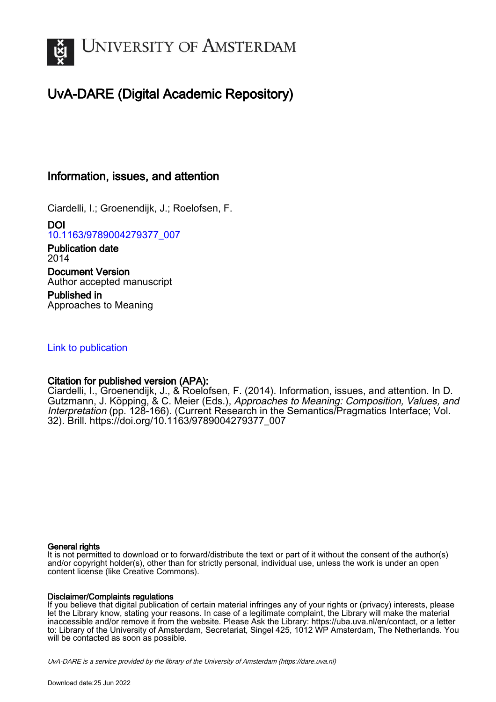

# UvA-DARE (Digital Academic Repository)

## Information, issues, and attention

Ciardelli, I.; Groenendijk, J.; Roelofsen, F.

DOI [10.1163/9789004279377\\_007](https://doi.org/10.1163/9789004279377_007)

Publication date 2014 Document Version

Author accepted manuscript

Published in Approaches to Meaning

#### [Link to publication](https://dare.uva.nl/personal/pure/en/publications/information-issues-and-attention(0ba7146e-1fef-4296-a541-54f24dc7a645).html)

#### Citation for published version (APA):

Ciardelli, I., Groenendijk, J., & Roelofsen, F. (2014). Information, issues, and attention. In D. Gutzmann, J. Köpping, & C. Meier (Eds.), Approaches to Meaning: Composition, Values, and Interpretation (pp. 128-166). (Current Research in the Semantics/Pragmatics Interface; Vol. 32). Brill. [https://doi.org/10.1163/9789004279377\\_007](https://doi.org/10.1163/9789004279377_007)

#### General rights

It is not permitted to download or to forward/distribute the text or part of it without the consent of the author(s) and/or copyright holder(s), other than for strictly personal, individual use, unless the work is under an open content license (like Creative Commons).

#### Disclaimer/Complaints regulations

If you believe that digital publication of certain material infringes any of your rights or (privacy) interests, please let the Library know, stating your reasons. In case of a legitimate complaint, the Library will make the material inaccessible and/or remove it from the website. Please Ask the Library: https://uba.uva.nl/en/contact, or a letter to: Library of the University of Amsterdam, Secretariat, Singel 425, 1012 WP Amsterdam, The Netherlands. You will be contacted as soon as possible.

UvA-DARE is a service provided by the library of the University of Amsterdam (http*s*://dare.uva.nl)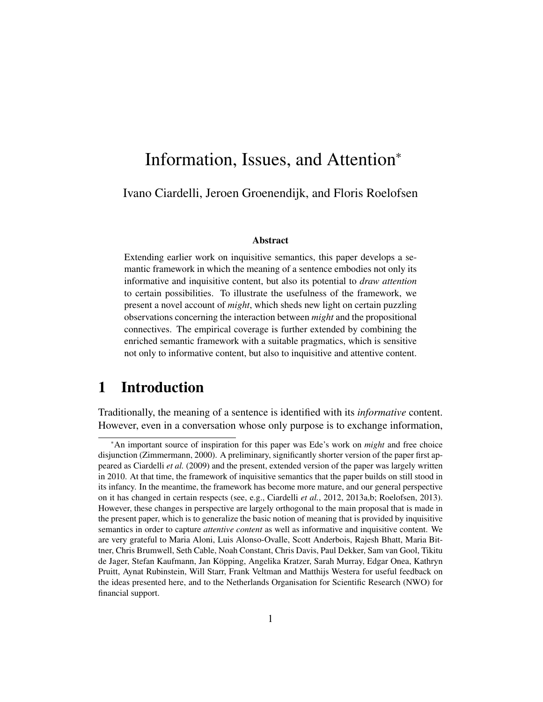# Information, Issues, and Attention<sup>∗</sup>

Ivano Ciardelli, Jeroen Groenendijk, and Floris Roelofsen

#### Abstract

Extending earlier work on inquisitive semantics, this paper develops a semantic framework in which the meaning of a sentence embodies not only its informative and inquisitive content, but also its potential to *draw attention* to certain possibilities. To illustrate the usefulness of the framework, we present a novel account of *might*, which sheds new light on certain puzzling observations concerning the interaction between *might* and the propositional connectives. The empirical coverage is further extended by combining the enriched semantic framework with a suitable pragmatics, which is sensitive not only to informative content, but also to inquisitive and attentive content.

## 1 Introduction

Traditionally, the meaning of a sentence is identified with its *informative* content. However, even in a conversation whose only purpose is to exchange information,

<sup>∗</sup>An important source of inspiration for this paper was Ede's work on *might* and free choice disjunction [\(Zimmermann,](#page-39-0) [2000\)](#page-39-0). A preliminary, significantly shorter version of the paper first appeared as [Ciardelli](#page-36-0) *et al.* [\(2009\)](#page-36-0) and the present, extended version of the paper was largely written in 2010. At that time, the framework of inquisitive semantics that the paper builds on still stood in its infancy. In the meantime, the framework has become more mature, and our general perspective on it has changed in certain respects (see, e.g., [Ciardelli](#page-36-1) *et al.*, [2012,](#page-36-1) [2013a,](#page-36-2)[b;](#page-36-3) [Roelofsen,](#page-39-1) [2013\)](#page-39-1). However, these changes in perspective are largely orthogonal to the main proposal that is made in the present paper, which is to generalize the basic notion of meaning that is provided by inquisitive semantics in order to capture *attentive content* as well as informative and inquisitive content. We are very grateful to Maria Aloni, Luis Alonso-Ovalle, Scott Anderbois, Rajesh Bhatt, Maria Bittner, Chris Brumwell, Seth Cable, Noah Constant, Chris Davis, Paul Dekker, Sam van Gool, Tikitu de Jager, Stefan Kaufmann, Jan Kopping, Angelika Kratzer, Sarah Murray, Edgar Onea, Kathryn ¨ Pruitt, Aynat Rubinstein, Will Starr, Frank Veltman and Matthijs Westera for useful feedback on the ideas presented here, and to the Netherlands Organisation for Scientific Research (NWO) for financial support.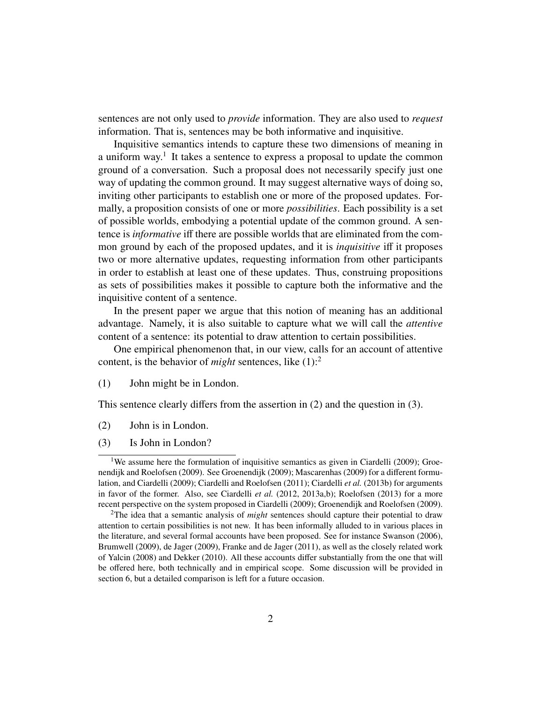sentences are not only used to *provide* information. They are also used to *request* information. That is, sentences may be both informative and inquisitive.

Inquisitive semantics intends to capture these two dimensions of meaning in a uniform way.<sup>[1](#page-2-0)</sup> It takes a sentence to express a proposal to update the common ground of a conversation. Such a proposal does not necessarily specify just one way of updating the common ground. It may suggest alternative ways of doing so, inviting other participants to establish one or more of the proposed updates. Formally, a proposition consists of one or more *possibilities*. Each possibility is a set of possible worlds, embodying a potential update of the common ground. A sentence is *informative* iff there are possible worlds that are eliminated from the common ground by each of the proposed updates, and it is *inquisitive* iff it proposes two or more alternative updates, requesting information from other participants in order to establish at least one of these updates. Thus, construing propositions as sets of possibilities makes it possible to capture both the informative and the inquisitive content of a sentence.

In the present paper we argue that this notion of meaning has an additional advantage. Namely, it is also suitable to capture what we will call the *attentive* content of a sentence: its potential to draw attention to certain possibilities.

One empirical phenomenon that, in our view, calls for an account of attentive content, is the behavior of *might* sentences, like (1):[2](#page-2-1)

<span id="page-2-4"></span>(1) John might be in London.

<span id="page-2-2"></span>This sentence clearly differs from the assertion in [\(2\)](#page-2-2) and the question in [\(3\).](#page-2-3)

- <span id="page-2-3"></span>(2) John is in London.
- (3) Is John in London?

<span id="page-2-0"></span><sup>&</sup>lt;sup>1</sup>We assume here the formulation of inquisitive semantics as given in [Ciardelli](#page-36-4) [\(2009\)](#page-36-4); [Groe](#page-37-0)[nendijk and Roelofsen](#page-37-0) [\(2009\)](#page-37-0). See [Groenendijk](#page-37-1) [\(2009\)](#page-37-1); [Mascarenhas](#page-38-0) [\(2009\)](#page-38-0) for a different formulation, and [Ciardelli](#page-36-4) [\(2009\)](#page-36-4); [Ciardelli and Roelofsen](#page-36-5) [\(2011\)](#page-36-5); [Ciardelli](#page-36-3) *et al.* [\(2013b\)](#page-36-3) for arguments in favor of the former. Also, see [Ciardelli](#page-36-1) *et al.* [\(2012,](#page-36-1) [2013a](#page-36-2)[,b\)](#page-36-3); [Roelofsen](#page-39-1) [\(2013\)](#page-39-1) for a more recent perspective on the system proposed in [Ciardelli](#page-36-4) [\(2009\)](#page-36-4); [Groenendijk and Roelofsen](#page-37-0) [\(2009\)](#page-37-0).

<span id="page-2-1"></span><sup>2</sup>The idea that a semantic analysis of *might* sentences should capture their potential to draw attention to certain possibilities is not new. It has been informally alluded to in various places in the literature, and several formal accounts have been proposed. See for instance [Swanson](#page-39-2) [\(2006\)](#page-39-2), [Brumwell](#page-36-6) [\(2009\)](#page-36-6), [de Jager](#page-37-2) [\(2009\)](#page-37-2), [Franke and de Jager](#page-37-3) [\(2011\)](#page-37-3), as well as the closely related work of [Yalcin](#page-39-3) [\(2008\)](#page-39-3) and [Dekker](#page-37-4) [\(2010\)](#page-37-4). All these accounts differ substantially from the one that will be offered here, both technically and in empirical scope. Some discussion will be provided in section [6,](#page-33-0) but a detailed comparison is left for a future occasion.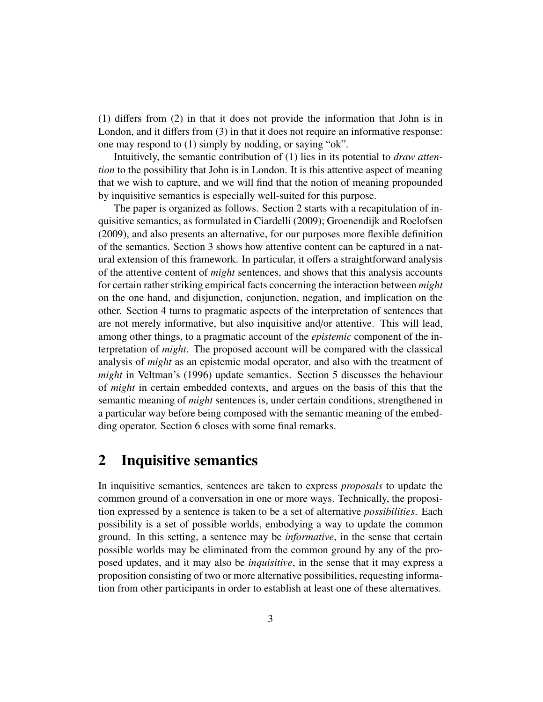[\(1\)](#page-2-4) differs from [\(2\)](#page-2-2) in that it does not provide the information that John is in London, and it differs from [\(3\)](#page-2-3) in that it does not require an informative response: one may respond to [\(1\)](#page-2-4) simply by nodding, or saying "ok".

Intuitively, the semantic contribution of [\(1\)](#page-2-4) lies in its potential to *draw attention* to the possibility that John is in London. It is this attentive aspect of meaning that we wish to capture, and we will find that the notion of meaning propounded by inquisitive semantics is especially well-suited for this purpose.

The paper is organized as follows. Section [2](#page-3-0) starts with a recapitulation of inquisitive semantics, as formulated in [Ciardelli](#page-36-4) [\(2009\)](#page-36-4); [Groenendijk and Roelofsen](#page-37-0) [\(2009\)](#page-37-0), and also presents an alternative, for our purposes more flexible definition of the semantics. Section [3](#page-15-0) shows how attentive content can be captured in a natural extension of this framework. In particular, it offers a straightforward analysis of the attentive content of *might* sentences, and shows that this analysis accounts for certain rather striking empirical facts concerning the interaction between *might* on the one hand, and disjunction, conjunction, negation, and implication on the other. Section [4](#page-26-0) turns to pragmatic aspects of the interpretation of sentences that are not merely informative, but also inquisitive and/or attentive. This will lead, among other things, to a pragmatic account of the *epistemic* component of the interpretation of *might*. The proposed account will be compared with the classical analysis of *might* as an epistemic modal operator, and also with the treatment of *might* in Veltman's [\(1996\)](#page-39-4) update semantics. Section [5](#page-30-0) discusses the behaviour of *might* in certain embedded contexts, and argues on the basis of this that the semantic meaning of *might* sentences is, under certain conditions, strengthened in a particular way before being composed with the semantic meaning of the embedding operator. Section [6](#page-33-0) closes with some final remarks.

## <span id="page-3-0"></span>2 Inquisitive semantics

In inquisitive semantics, sentences are taken to express *proposals* to update the common ground of a conversation in one or more ways. Technically, the proposition expressed by a sentence is taken to be a set of alternative *possibilities*. Each possibility is a set of possible worlds, embodying a way to update the common ground. In this setting, a sentence may be *informative*, in the sense that certain possible worlds may be eliminated from the common ground by any of the proposed updates, and it may also be *inquisitive*, in the sense that it may express a proposition consisting of two or more alternative possibilities, requesting information from other participants in order to establish at least one of these alternatives.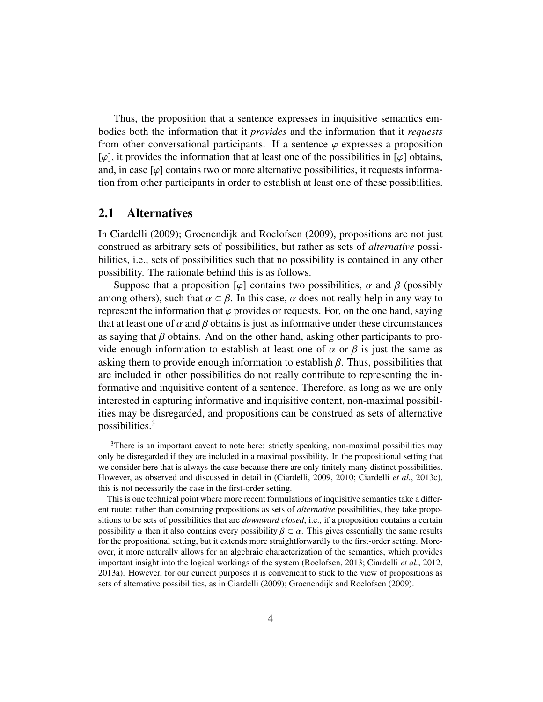Thus, the proposition that a sentence expresses in inquisitive semantics embodies both the information that it *provides* and the information that it *requests* from other conversational participants. If a sentence  $\varphi$  expresses a proposition  $[\varphi]$ , it provides the information that at least one of the possibilities in  $[\varphi]$  obtains, and, in case  $[\varphi]$  contains two or more alternative possibilities, it requests information from other participants in order to establish at least one of these possibilities.

### <span id="page-4-1"></span>2.1 Alternatives

In [Ciardelli](#page-36-4) [\(2009\)](#page-36-4); [Groenendijk and Roelofsen](#page-37-0) [\(2009\)](#page-37-0), propositions are not just construed as arbitrary sets of possibilities, but rather as sets of *alternative* possibilities, i.e., sets of possibilities such that no possibility is contained in any other possibility. The rationale behind this is as follows.

Suppose that a proposition [ $\varphi$ ] contains two possibilities,  $\alpha$  and  $\beta$  (possibly among others), such that  $\alpha \subset \beta$ . In this case,  $\alpha$  does not really help in any way to represent the information that  $\varphi$  provides or requests. For, on the one hand, saying that at least one of  $\alpha$  and  $\beta$  obtains is just as informative under these circumstances as saying that  $\beta$  obtains. And on the other hand, asking other participants to provide enough information to establish at least one of  $\alpha$  or  $\beta$  is just the same as asking them to provide enough information to establish  $\beta$ . Thus, possibilities that are included in other possibilities do not really contribute to representing the informative and inquisitive content of a sentence. Therefore, as long as we are only interested in capturing informative and inquisitive content, non-maximal possibilities may be disregarded, and propositions can be construed as sets of alternative possibilities.[3](#page-4-0)

<span id="page-4-0"></span><sup>&</sup>lt;sup>3</sup>There is an important caveat to note here: strictly speaking, non-maximal possibilities may only be disregarded if they are included in a maximal possibility. In the propositional setting that we consider here that is always the case because there are only finitely many distinct possibilities. However, as observed and discussed in detail in [\(Ciardelli,](#page-36-4) [2009,](#page-36-4) [2010;](#page-36-7) [Ciardelli](#page-36-8) *et al.*, [2013c\)](#page-36-8), this is not necessarily the case in the first-order setting.

This is one technical point where more recent formulations of inquisitive semantics take a different route: rather than construing propositions as sets of *alternative* possibilities, they take propositions to be sets of possibilities that are *downward closed*, i.e., if a proposition contains a certain possibility  $\alpha$  then it also contains every possibility  $\beta \subset \alpha$ . This gives essentially the same results for the propositional setting, but it extends more straightforwardly to the first-order setting. Moreover, it more naturally allows for an algebraic characterization of the semantics, which provides important insight into the logical workings of the system [\(Roelofsen,](#page-39-1) [2013;](#page-39-1) [Ciardelli](#page-36-1) *et al.*, [2012,](#page-36-1) [2013a\)](#page-36-2). However, for our current purposes it is convenient to stick to the view of propositions as sets of alternative possibilities, as in [Ciardelli](#page-36-4) [\(2009\)](#page-36-4); [Groenendijk and Roelofsen](#page-37-0) [\(2009\)](#page-37-0).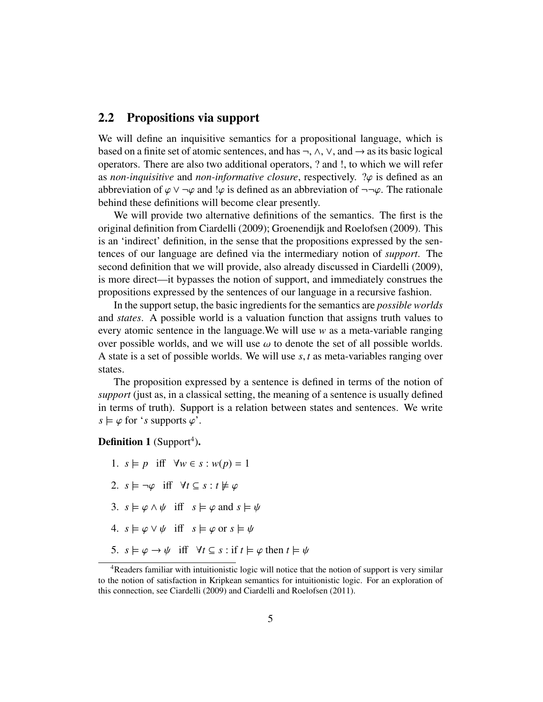#### 2.2 Propositions via support

We will define an inquisitive semantics for a propositional language, which is based on a finite set of atomic sentences, and has  $\neg, \wedge, \vee,$  and  $\rightarrow$  as its basic logical operators. There are also two additional operators, ? and !, to which we will refer as *non-inquisitive* and *non-informative closure*, respectively. ?ϕ is defined as an abbreviation of  $\varphi \vee \neg \varphi$  and  $\psi$  is defined as an abbreviation of  $\neg \neg \varphi$ . The rationale behind these definitions will become clear presently.

We will provide two alternative definitions of the semantics. The first is the original definition from [Ciardelli](#page-36-4) [\(2009\)](#page-36-4); [Groenendijk and Roelofsen](#page-37-0) [\(2009\)](#page-37-0). This is an 'indirect' definition, in the sense that the propositions expressed by the sentences of our language are defined via the intermediary notion of *support*. The second definition that we will provide, also already discussed in [Ciardelli](#page-36-4) [\(2009\)](#page-36-4), is more direct—it bypasses the notion of support, and immediately construes the propositions expressed by the sentences of our language in a recursive fashion.

In the support setup, the basic ingredients for the semantics are *possible worlds* and *states*. A possible world is a valuation function that assigns truth values to every atomic sentence in the language.We will use *w* as a meta-variable ranging over possible worlds, and we will use  $\omega$  to denote the set of all possible worlds. A state is a set of possible worlds. We will use *<sup>s</sup>*, *<sup>t</sup>* as meta-variables ranging over states.

The proposition expressed by a sentence is defined in terms of the notion of *support* (just as, in a classical setting, the meaning of a sentence is usually defined in terms of truth). Support is a relation between states and sentences. We write  $s \models \varphi$  for '*s* supports  $\varphi$ '.

**Definition 1** (Support<sup>[4](#page-5-0)</sup>).

1.  $s \models p$  iff  $\forall w \in s : w(p) = 1$ 2.  $s \models \neg \varphi$  iff  $\forall t \subseteq s : t \not\models \varphi$ 3.  $s \models \varphi \land \psi$  iff  $s \models \varphi$  and  $s \models \psi$ 4.  $s \models \varphi \lor \psi$  iff  $s \models \varphi$  or  $s \models \psi$ 5.  $s \models \varphi \rightarrow \psi$  iff  $\forall t \subseteq s : \text{if } t \models \varphi \text{ then } t \models \psi$ 

<span id="page-5-0"></span><sup>&</sup>lt;sup>4</sup>Readers familiar with intuitionistic logic will notice that the notion of support is very similar to the notion of satisfaction in Kripkean semantics for intuitionistic logic. For an exploration of this connection, see [Ciardelli](#page-36-4) [\(2009\)](#page-36-4) and [Ciardelli and Roelofsen](#page-36-5) [\(2011\)](#page-36-5).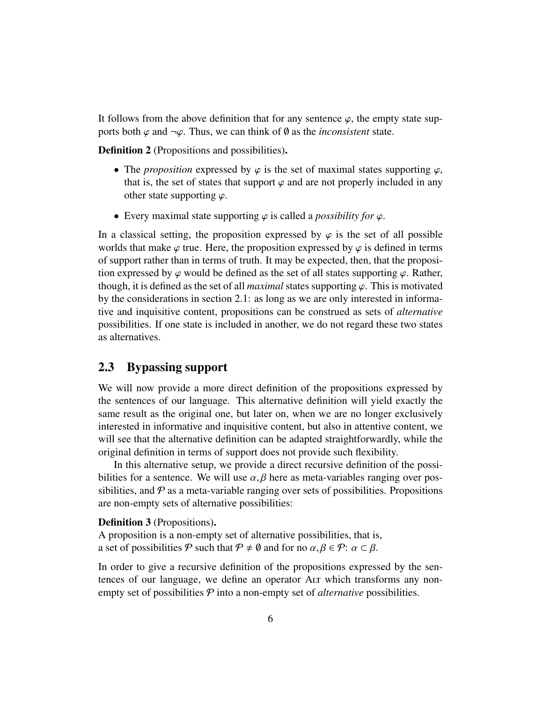It follows from the above definition that for any sentence  $\varphi$ , the empty state supports both  $\varphi$  and  $\neg \varphi$ . Thus, we can think of  $\emptyset$  as the *inconsistent* state.

Definition 2 (Propositions and possibilities).

- The *proposition* expressed by  $\varphi$  is the set of maximal states supporting  $\varphi$ , that is, the set of states that support  $\varphi$  and are not properly included in any other state supporting  $\varphi$ .
- Every maximal state supporting  $\varphi$  is called a *possibility for*  $\varphi$ .

In a classical setting, the proposition expressed by  $\varphi$  is the set of all possible worlds that make  $\varphi$  true. Here, the proposition expressed by  $\varphi$  is defined in terms of support rather than in terms of truth. It may be expected, then, that the proposition expressed by  $\varphi$  would be defined as the set of all states supporting  $\varphi$ . Rather, though, it is defined as the set of all *maximal* states supporting  $\varphi$ . This is motivated by the considerations in section [2.1:](#page-4-1) as long as we are only interested in informative and inquisitive content, propositions can be construed as sets of *alternative* possibilities. If one state is included in another, we do not regard these two states as alternatives.

### 2.3 Bypassing support

We will now provide a more direct definition of the propositions expressed by the sentences of our language. This alternative definition will yield exactly the same result as the original one, but later on, when we are no longer exclusively interested in informative and inquisitive content, but also in attentive content, we will see that the alternative definition can be adapted straightforwardly, while the original definition in terms of support does not provide such flexibility.

In this alternative setup, we provide a direct recursive definition of the possibilities for a sentence. We will use  $\alpha$ ,  $\beta$  here as meta-variables ranging over possibilities, and  $\varphi$  as a meta-variable ranging over sets of possibilities. Propositions are non-empty sets of alternative possibilities:

#### Definition 3 (Propositions).

A proposition is a non-empty set of alternative possibilities, that is, a set of possibilities P such that  $P \neq \emptyset$  and for no  $\alpha, \beta \in \mathcal{P}$ :  $\alpha \subset \beta$ .

In order to give a recursive definition of the propositions expressed by the sentences of our language, we define an operator ALT which transforms any nonempty set of possibilities  $P$  into a non-empty set of *alternative* possibilities.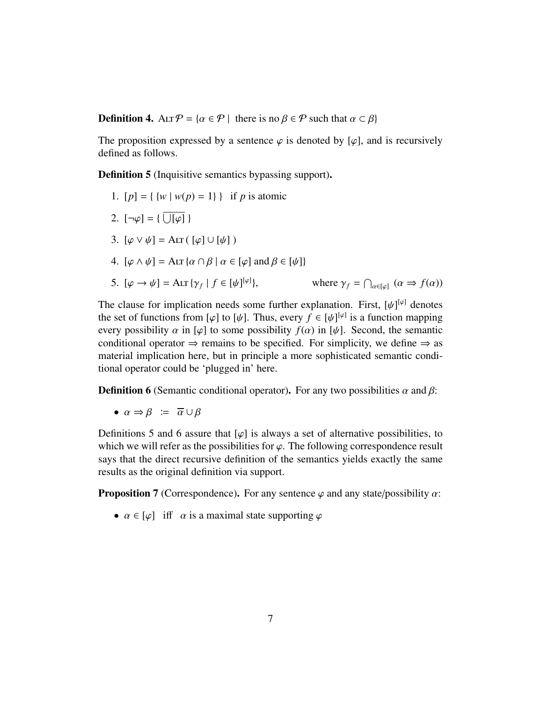**Definition 4.** ALT  $P = \{ \alpha \in P \mid \text{there is no } \beta \in P \text{ such that } \alpha \subset \beta \}$ 

The proposition expressed by a sentence  $\varphi$  is denoted by [ $\varphi$ ], and is recursively defined as follows.

<span id="page-7-0"></span>Definition 5 (Inquisitive semantics bypassing support).

- 1.  $[p] = \{ \{w \mid w(p) = 1 \} \}$  if *p* is atomic
- 2.  $[\neg \varphi] = {\cup [\varphi]}$
- 3.  $[\varphi \vee \psi] = \text{Air}([\varphi] \cup [\psi])$

4. 
$$
[\varphi \wedge \psi] = \text{Arr} \{\alpha \cap \beta \mid \alpha \in [\varphi] \text{ and } \beta \in [\psi]\}
$$

5. 
$$
[\varphi \to \psi] = \text{Arr} \{\gamma_f | f \in [\psi]^{[\varphi]} \}
$$
, where  $\gamma_f = \bigcap_{\alpha \in [\varphi]} (\alpha \Rightarrow f(\alpha))$ 

The clause for implication needs some further explanation. First,  $[\psi]^{[\varphi]}$  denotes the set of functions from  $[\varphi]$  to  $[\psi]$ . Thus, every  $f \in [\psi][\varphi]$  is a function manning the set of functions from [ $\varphi$ ] to [ $\psi$ ]. Thus, every  $f \in [\psi]^{[\varphi]}$  is a function mapping<br>every possibility  $\alpha$  in [ $\alpha$ ] to some possibility  $f(\alpha)$  in [ $\psi$ ]. Second, the semantic every possibility  $\alpha$  in [ $\varphi$ ] to some possibility  $f(\alpha)$  in [ $\psi$ ]. Second, the semantic conditional operator  $\Rightarrow$  remains to be specified. For simplicity, we define  $\Rightarrow$  as material implication here, but in principle a more sophisticated semantic conditional operator could be 'plugged in' here.

<span id="page-7-1"></span>**Definition 6** (Semantic conditional operator). For any two possibilities  $\alpha$  and  $\beta$ :

•  $\alpha \Rightarrow \beta \coloneqq \overline{\alpha} \cup \beta$ 

Definitions [5](#page-7-0) and [6](#page-7-1) assure that  $\lbrack \varphi \rbrack$  is always a set of alternative possibilities, to which we will refer as the possibilities for  $\varphi$ . The following correspondence result says that the direct recursive definition of the semantics yields exactly the same results as the original definition via support.

**Proposition 7** (Correspondence). For any sentence  $\varphi$  and any state/possibility  $\alpha$ :

•  $\alpha \in [\varphi]$  iff  $\alpha$  is a maximal state supporting  $\varphi$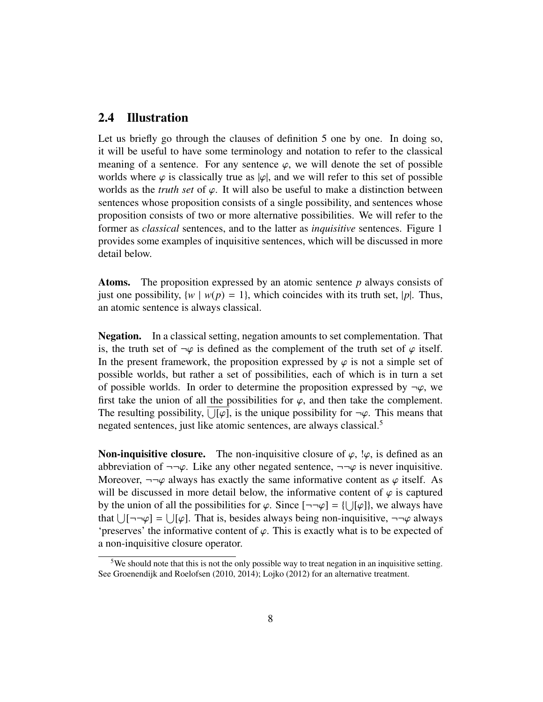### <span id="page-8-1"></span>2.4 Illustration

Let us briefly go through the clauses of definition [5](#page-7-0) one by one. In doing so, it will be useful to have some terminology and notation to refer to the classical meaning of a sentence. For any sentence  $\varphi$ , we will denote the set of possible worlds where  $\varphi$  is classically true as  $|\varphi|$ , and we will refer to this set of possible worlds as the *truth set* of  $\varphi$ . It will also be useful to make a distinction between sentences whose proposition consists of a single possibility, and sentences whose proposition consists of two or more alternative possibilities. We will refer to the former as *classical* sentences, and to the latter as *inquisitive* sentences. Figure [1](#page-9-0) provides some examples of inquisitive sentences, which will be discussed in more detail below.

Atoms. The proposition expressed by an atomic sentence *p* always consists of just one possibility,  $\{w \mid w(p) = 1\}$ , which coincides with its truth set, |p|. Thus, an atomic sentence is always classical.

Negation. In a classical setting, negation amounts to set complementation. That is, the truth set of  $\neg \varphi$  is defined as the complement of the truth set of  $\varphi$  itself. In the present framework, the proposition expressed by  $\varphi$  is not a simple set of possible worlds, but rather a set of possibilities, each of which is in turn a set of possible worlds. In order to determine the proposition expressed by  $\neg \varphi$ , we first take the union of all the possibilities for  $\varphi$ , and then take the complement. The resulting possibility,  $\bigcup[\varphi]$ , is the unique possibility for  $\neg \varphi$ . This means that negated sentences just like atomic sentences are always classical <sup>5</sup> negated sentences, just like atomic sentences, are always classical.<sup>[5](#page-8-0)</sup>

**Non-inquisitive closure.** The non-inquisitive closure of  $\varphi$ ,  $\phi$ , is defined as an abbreviation of  $\neg\neg\varphi$ . Like any other negated sentence,  $\neg\neg\varphi$  is never inquisitive. Moreover,  $\neg\neg\varphi$  always has exactly the same informative content as  $\varphi$  itself. As will be discussed in more detail below, the informative content of  $\varphi$  is captured by the union of all the possibilities for  $\varphi$ . Since  $[\neg\neg\varphi] = {\bigcup[\varphi]}$ , we always have<br>that  $\bigcup[\varphi] = \bigcup[\varphi]$ . That is besides always being non-inquisitive  $\bigcup[\varphi]$ that  $\bigcup [\neg \neg \varphi] = \bigcup [\varphi]$ . That is, besides always being non-inquisitive,  $\neg \neg \varphi$  always 'reserves' the informative content of  $\varphi$ . This is exactly what is to be expected of 'preserves' the informative content of  $\varphi$ . This is exactly what is to be expected of a non-inquisitive closure operator.

<span id="page-8-0"></span><sup>&</sup>lt;sup>5</sup>We should note that this is not the only possible way to treat negation in an inquisitive setting. See [Groenendijk and Roelofsen](#page-37-5) [\(2010,](#page-37-5) [2014\)](#page-38-1); [Lojko](#page-38-2) [\(2012\)](#page-38-2) for an alternative treatment.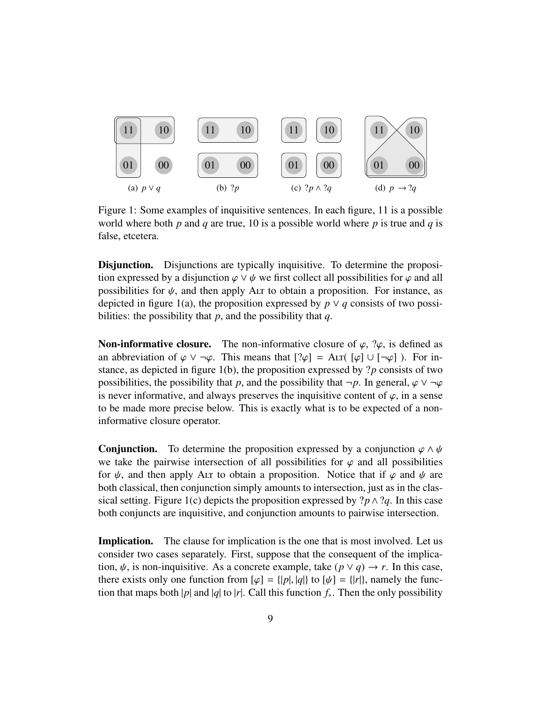<span id="page-9-1"></span>

<span id="page-9-4"></span><span id="page-9-3"></span><span id="page-9-2"></span><span id="page-9-0"></span>Figure 1: Some examples of inquisitive sentences. In each figure, 11 is a possible world where both *p* and *q* are true, 10 is a possible world where *p* is true and *q* is false, etcetera.

Disjunction. Disjunctions are typically inquisitive. To determine the proposition expressed by a disjunction  $\varphi \lor \psi$  we first collect all possibilities for  $\varphi$  and all possibilities for  $\psi$ , and then apply ALT to obtain a proposition. For instance, as depicted in figure [1\(a\),](#page-9-1) the proposition expressed by  $p \vee q$  consists of two possibilities: the possibility that *p*, and the possibility that *q*.

**Non-informative closure.** The non-informative closure of  $\varphi$ ,  $\varphi$ , is defined as an abbreviation of  $\varphi \vee \neg \varphi$ . This means that  $[\varphi] = \text{Aut}([\varphi] \cup [\neg \varphi])$ . For instance, as depicted in figure [1\(b\),](#page-9-2) the proposition expressed by ?*p* consists of two possibilities, the possibility that *p*, and the possibility that  $\neg p$ . In general,  $\varphi \vee \neg \varphi$ is never informative, and always preserves the inquisitive content of  $\varphi$ , in a sense to be made more precise below. This is exactly what is to be expected of a noninformative closure operator.

**Conjunction.** To determine the proposition expressed by a conjunction  $\varphi \wedge \psi$ we take the pairwise intersection of all possibilities for  $\varphi$  and all possibilities for  $\psi$ , and then apply ALT to obtain a proposition. Notice that if  $\varphi$  and  $\psi$  are both classical, then conjunction simply amounts to intersection, just as in the clas-sical setting. Figure [1\(c\)](#page-9-3) depicts the proposition expressed by  $?p \wedge ?q$ . In this case both conjuncts are inquisitive, and conjunction amounts to pairwise intersection.

Implication. The clause for implication is the one that is most involved. Let us consider two cases separately. First, suppose that the consequent of the implication,  $\psi$ , is non-inquisitive. As a concrete example, take  $(p \lor q) \to r$ . In this case, there exists only one function from  $[\varphi] = { |p|, |q| }$  to  $[\psi] = { |r| }$ , namely the function that maps both |*p*| and |*q*| to |*r*|. Call this function  $f_*$ . Then the only possibility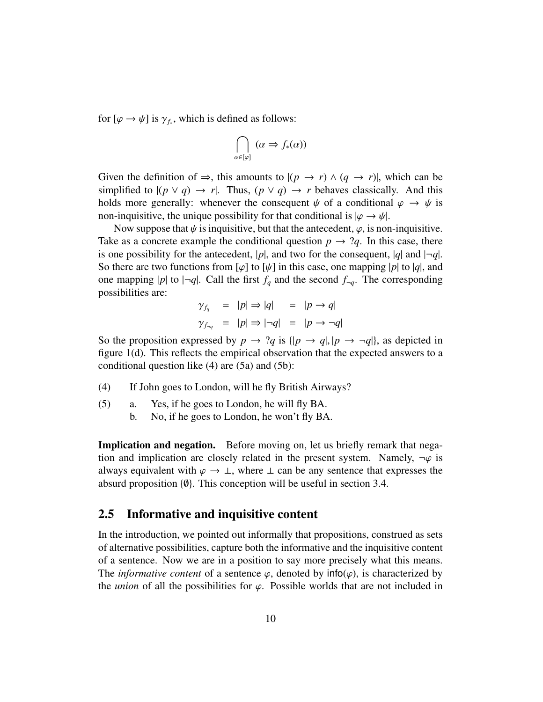for  $[\varphi \to \psi]$  is  $\gamma_{f_*}$ , which is defined as follows:

$$
\bigcap_{\alpha\in[\varphi]}(\alpha\Rightarrow f_*(\alpha))
$$

Given the definition of  $\Rightarrow$ , this amounts to  $|(p \rightarrow r) \land (q \rightarrow r)|$ , which can be simplified to  $|(p \vee q) \rightarrow r|$ . Thus,  $(p \vee q) \rightarrow r$  behaves classically. And this holds more generally: whenever the consequent  $\psi$  of a conditional  $\varphi \to \psi$  is non-inquisitive, the unique possibility for that conditional is  $|\varphi \to \psi|$ .

Now suppose that  $\psi$  is inquisitive, but that the antecedent,  $\varphi$ , is non-inquisitive. Take as a concrete example the conditional question  $p \rightarrow ?q$ . In this case, there is one possibility for the antecedent, |p|, and two for the consequent,  $|q|$  and  $|\neg q|$ . So there are two functions from [ $\varphi$ ] to [ $\psi$ ] in this case, one mapping |p| to |q|, and one mapping |p| to  $|\neg q|$ . Call the first  $f_q$  and the second  $f_{\neg q}$ . The corresponding possibilities are:

$$
\gamma_{f_q} = |p| \Rightarrow |q| = |p \rightarrow q|
$$
  

$$
\gamma_{f_{\neg q}} = |p| \Rightarrow |\neg q| = |p \rightarrow \neg q|
$$

So the proposition expressed by  $p \rightarrow ?q$  is  $\{|p \rightarrow q|, |p \rightarrow \neg q|\}$ , as depicted in figure [1\(d\).](#page-9-4) This reflects the empirical observation that the expected answers to a conditional question like (4) are (5a) and (5b):

- (4) If John goes to London, will he fly British Airways?
- (5) a. Yes, if he goes to London, he will fly BA.
	- b. No, if he goes to London, he won't fly BA.

**Implication and negation.** Before moving on, let us briefly remark that negation and implication are closely related in the present system. Namely,  $\neg \varphi$  is always equivalent with  $\varphi \to \bot$ , where  $\bot$  can be any sentence that expresses the absurd proposition {∅}. This conception will be useful in section [3.4.](#page-23-0)

#### 2.5 Informative and inquisitive content

In the introduction, we pointed out informally that propositions, construed as sets of alternative possibilities, capture both the informative and the inquisitive content of a sentence. Now we are in a position to say more precisely what this means. The *informative content* of a sentence  $\varphi$ , denoted by info( $\varphi$ ), is characterized by the *union* of all the possibilities for  $\varphi$ . Possible worlds that are not included in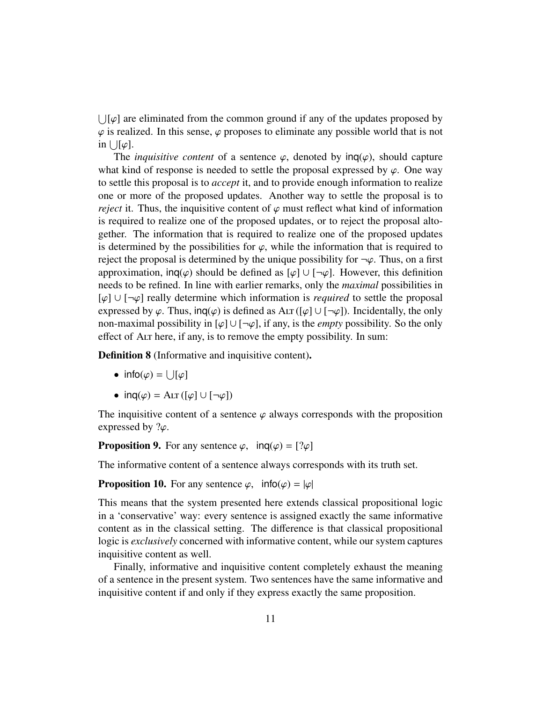$\bigcup[\varphi]$  are eliminated from the common ground if any of the updates proposed by  $\varphi$  is realized. In this sense,  $\varphi$  proposes to eliminate any possible world that is not  $\varphi$  is realized. In this sense,  $\varphi$  proposes to eliminate any possible world that is not  $\inf \bigcup_{\text{The}} [\varphi].$ 

The *inquisitive content* of a sentence  $\varphi$ , denoted by  $\text{inq}(\varphi)$ , should capture what kind of response is needed to settle the proposal expressed by  $\varphi$ . One way to settle this proposal is to *accept* it, and to provide enough information to realize one or more of the proposed updates. Another way to settle the proposal is to *reject* it. Thus, the inquisitive content of  $\varphi$  must reflect what kind of information is required to realize one of the proposed updates, or to reject the proposal altogether. The information that is required to realize one of the proposed updates is determined by the possibilities for  $\varphi$ , while the information that is required to reject the proposal is determined by the unique possibility for  $\neg \varphi$ . Thus, on a first approximation, inq( $\varphi$ ) should be defined as  $[\varphi] \cup [\neg \varphi]$ . However, this definition needs to be refined. In line with earlier remarks, only the *maximal* possibilities in [ϕ] <sup>∪</sup> [¬ϕ] really determine which information is *required* to settle the proposal expressed by  $\varphi$ . Thus, inq( $\varphi$ ) is defined as ALT ([ $\varphi$ ]  $\cup$  [¬ $\varphi$ ]). Incidentally, the only non-maximal possibility in  $\lbrack \varphi \rbrack \cup \lbrack \neg \varphi \rbrack$ , if any, is the *empty* possibility. So the only effect of Alt here, if any, is to remove the empty possibility. In sum:

Definition 8 (Informative and inquisitive content).

- $info(\varphi) = \bigcup [\varphi]$
- inq( $\varphi$ ) = ALT ([ $\varphi$ ] ∪ [¬ $\varphi$ ])

The inquisitive content of a sentence  $\varphi$  always corresponds with the proposition expressed by  $?$  $\varphi$ .

**Proposition 9.** For any sentence  $\varphi$ ,  $\text{inq}(\varphi) = [? \varphi]$ 

The informative content of a sentence always corresponds with its truth set.

#### **Proposition 10.** For any sentence  $\varphi$ , info( $\varphi$ ) =  $|\varphi|$

This means that the system presented here extends classical propositional logic in a 'conservative' way: every sentence is assigned exactly the same informative content as in the classical setting. The difference is that classical propositional logic is *exclusively* concerned with informative content, while our system captures inquisitive content as well.

Finally, informative and inquisitive content completely exhaust the meaning of a sentence in the present system. Two sentences have the same informative and inquisitive content if and only if they express exactly the same proposition.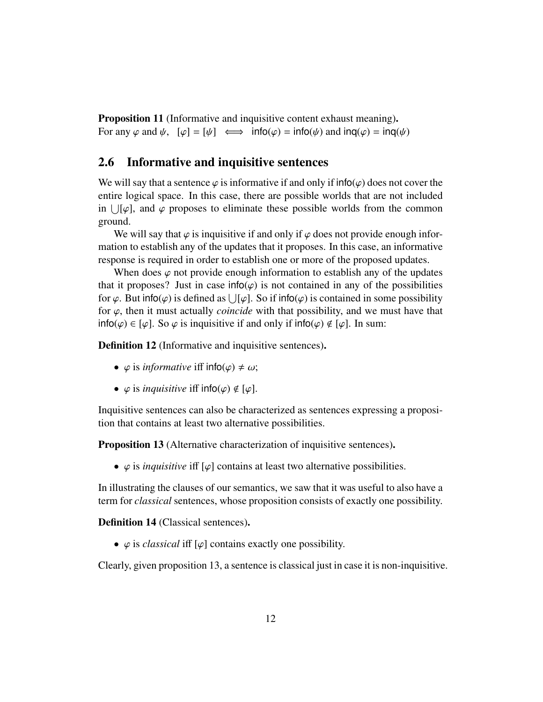**Proposition 11** (Informative and inquisitive content exhaust meaning). For any  $\varphi$  and  $\psi$ ,  $[\varphi] = [\psi] \iff \text{info}(\varphi) = \text{info}(\psi)$  and  $\text{inq}(\varphi) = \text{inq}(\psi)$ 

### 2.6 Informative and inquisitive sentences

We will say that a sentence  $\varphi$  is informative if and only if info( $\varphi$ ) does not cover the entire logical space. In this case, there are possible worlds that are not included in  $\bigcup[\varphi]$ , and  $\varphi$  proposes to eliminate these possible worlds from the common ground ground.

We will say that  $\varphi$  is inquisitive if and only if  $\varphi$  does not provide enough information to establish any of the updates that it proposes. In this case, an informative response is required in order to establish one or more of the proposed updates.

When does  $\varphi$  not provide enough information to establish any of the updates that it proposes? Just in case  $\text{info}(\varphi)$  is not contained in any of the possibilities for  $\varphi$ . But info( $\varphi$ ) is defined as  $\bigcup [\varphi]$ . So if info( $\varphi$ ) is contained in some possibility<br>for  $\varphi$ , then it must actually coincide with that possibility, and we must have that for  $\varphi$ , then it must actually *coincide* with that possibility, and we must have that info( $\varphi$ )  $\in$  [ $\varphi$ ]. So  $\varphi$  is inquisitive if and only if info( $\varphi$ )  $\notin$  [ $\varphi$ ]. In sum:

Definition 12 (Informative and inquisitive sentences).

- $\varphi$  is *informative* iff  $\text{info}(\varphi) \neq \omega$ ;
- $\varphi$  is *inquisitive* iff  $\mathsf{info}(\varphi) \notin [\varphi]$ .

Inquisitive sentences can also be characterized as sentences expressing a proposition that contains at least two alternative possibilities.

<span id="page-12-0"></span>**Proposition 13** (Alternative characterization of inquisitive sentences).

•  $\varphi$  is *inquisitive* iff [ $\varphi$ ] contains at least two alternative possibilities.

In illustrating the clauses of our semantics, we saw that it was useful to also have a term for *classical* sentences, whose proposition consists of exactly one possibility.

Definition 14 (Classical sentences).

•  $\varphi$  is *classical* iff  $[\varphi]$  contains exactly one possibility.

Clearly, given proposition [13,](#page-12-0) a sentence is classical just in case it is non-inquisitive.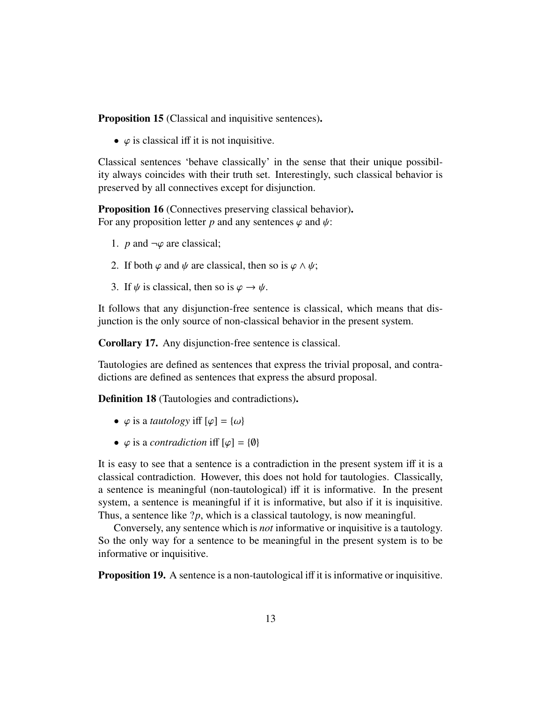Proposition 15 (Classical and inquisitive sentences).

•  $\varphi$  is classical iff it is not inquisitive.

Classical sentences 'behave classically' in the sense that their unique possibility always coincides with their truth set. Interestingly, such classical behavior is preserved by all connectives except for disjunction.

Proposition 16 (Connectives preserving classical behavior). For any proposition letter *p* and any sentences  $\varphi$  and  $\psi$ :

- 1. *p* and  $\neg \varphi$  are classical;
- 2. If both  $\varphi$  and  $\psi$  are classical, then so is  $\varphi \wedge \psi$ ;
- 3. If  $\psi$  is classical, then so is  $\varphi \to \psi$ .

It follows that any disjunction-free sentence is classical, which means that disjunction is the only source of non-classical behavior in the present system.

Corollary 17. Any disjunction-free sentence is classical.

Tautologies are defined as sentences that express the trivial proposal, and contradictions are defined as sentences that express the absurd proposal.

Definition 18 (Tautologies and contradictions).

- $\varphi$  is a *tautology* iff  $[\varphi] = {\omega}$
- $\varphi$  is a *contradiction* iff  $[\varphi] = \{\emptyset\}$

It is easy to see that a sentence is a contradiction in the present system iff it is a classical contradiction. However, this does not hold for tautologies. Classically, a sentence is meaningful (non-tautological) iff it is informative. In the present system, a sentence is meaningful if it is informative, but also if it is inquisitive. Thus, a sentence like ?*p*, which is a classical tautology, is now meaningful.

Conversely, any sentence which is *not* informative or inquisitive is a tautology. So the only way for a sentence to be meaningful in the present system is to be informative or inquisitive.

Proposition 19. A sentence is a non-tautological iff it is informative or inquisitive.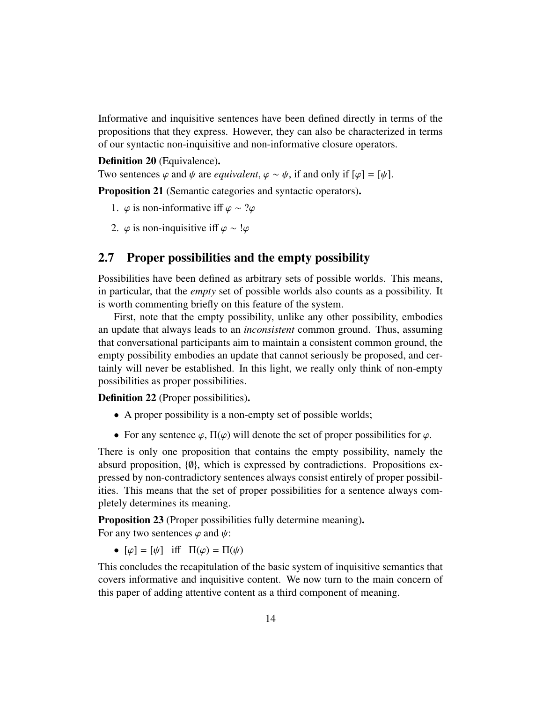Informative and inquisitive sentences have been defined directly in terms of the propositions that they express. However, they can also be characterized in terms of our syntactic non-inquisitive and non-informative closure operators.

Definition 20 (Equivalence).

Two sentences  $\varphi$  and  $\psi$  are *equivalent*,  $\varphi \sim \psi$ , if and only if  $[\varphi] = [\psi]$ .

Proposition 21 (Semantic categories and syntactic operators).

- 1.  $\varphi$  is non-informative iff  $\varphi \sim ?\varphi$
- 2.  $\varphi$  is non-inquisitive iff  $\varphi \sim \varphi$

### 2.7 Proper possibilities and the empty possibility

Possibilities have been defined as arbitrary sets of possible worlds. This means, in particular, that the *empty* set of possible worlds also counts as a possibility. It is worth commenting briefly on this feature of the system.

First, note that the empty possibility, unlike any other possibility, embodies an update that always leads to an *inconsistent* common ground. Thus, assuming that conversational participants aim to maintain a consistent common ground, the empty possibility embodies an update that cannot seriously be proposed, and certainly will never be established. In this light, we really only think of non-empty possibilities as proper possibilities.

Definition 22 (Proper possibilities).

- A proper possibility is a non-empty set of possible worlds;
- For any sentence  $\varphi$ ,  $\Pi(\varphi)$  will denote the set of proper possibilities for  $\varphi$ .

There is only one proposition that contains the empty possibility, namely the absurd proposition, {∅}, which is expressed by contradictions. Propositions expressed by non-contradictory sentences always consist entirely of proper possibilities. This means that the set of proper possibilities for a sentence always completely determines its meaning.

**Proposition 23** (Proper possibilities fully determine meaning).

For any two sentences  $\varphi$  and  $\psi$ :

•  $[\varphi] = [\psi]$  iff  $\Pi(\varphi) = \Pi(\psi)$ 

This concludes the recapitulation of the basic system of inquisitive semantics that covers informative and inquisitive content. We now turn to the main concern of this paper of adding attentive content as a third component of meaning.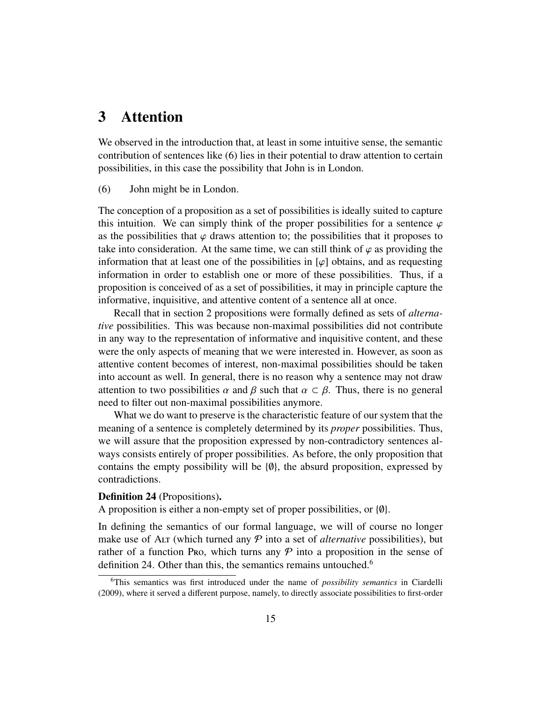## <span id="page-15-0"></span>3 Attention

We observed in the introduction that, at least in some intuitive sense, the semantic contribution of sentences like (6) lies in their potential to draw attention to certain possibilities, in this case the possibility that John is in London.

(6) John might be in London.

The conception of a proposition as a set of possibilities is ideally suited to capture this intuition. We can simply think of the proper possibilities for a sentence  $\varphi$ as the possibilities that  $\varphi$  draws attention to; the possibilities that it proposes to take into consideration. At the same time, we can still think of  $\varphi$  as providing the information that at least one of the possibilities in  $\lbrack \varphi \rbrack$  obtains, and as requesting information in order to establish one or more of these possibilities. Thus, if a proposition is conceived of as a set of possibilities, it may in principle capture the informative, inquisitive, and attentive content of a sentence all at once.

Recall that in section [2](#page-3-0) propositions were formally defined as sets of *alternative* possibilities. This was because non-maximal possibilities did not contribute in any way to the representation of informative and inquisitive content, and these were the only aspects of meaning that we were interested in. However, as soon as attentive content becomes of interest, non-maximal possibilities should be taken into account as well. In general, there is no reason why a sentence may not draw attention to two possibilities  $\alpha$  and  $\beta$  such that  $\alpha \subset \beta$ . Thus, there is no general need to filter out non-maximal possibilities anymore.

What we do want to preserve is the characteristic feature of our system that the meaning of a sentence is completely determined by its *proper* possibilities. Thus, we will assure that the proposition expressed by non-contradictory sentences always consists entirely of proper possibilities. As before, the only proposition that contains the empty possibility will be  $\{\emptyset\}$ , the absurd proposition, expressed by contradictions.

#### <span id="page-15-1"></span>Definition 24 (Propositions).

A proposition is either a non-empty set of proper possibilities, or {∅}.

In defining the semantics of our formal language, we will of course no longer make use of ALT (which turned any  $P$  into a set of *alternative* possibilities), but rather of a function Pro, which turns any  $P$  into a proposition in the sense of definition [24.](#page-15-1) Other than this, the semantics remains untouched.<sup>[6](#page-15-2)</sup>

<span id="page-15-2"></span><sup>6</sup>This semantics was first introduced under the name of *possibility semantics* in [Ciardelli](#page-36-4) [\(2009\)](#page-36-4), where it served a different purpose, namely, to directly associate possibilities to first-order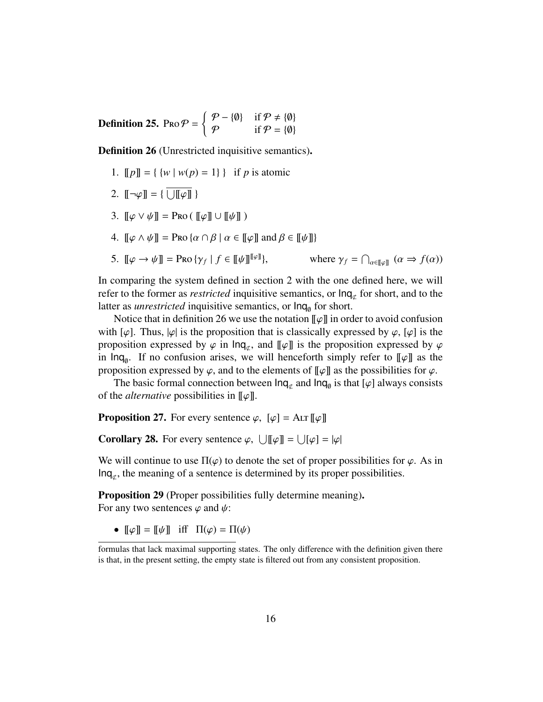**Definition 25.** Pro  $P = \begin{cases} P - \{0\} & \text{if } P \neq \{0\} \\ Q & \text{if } Q = \{0\} \end{cases}$  $P$  if  $P = \{\emptyset\}$ 

<span id="page-16-0"></span>Definition 26 (Unrestricted inquisitive semantics).

- 1.  $||p|| = { w | w(p) = 1 }$  if *p* is atomic
- 2.  $[\lbrack -\varphi \rbrack] = {\cup}[\lbrack \varphi \rbrack]$
- 3.  $\left[\phi \vee \psi\right] = \text{Pro} \left(\left[\phi\right] \cup \left[\left[\psi\right]\right]\right)$
- 4.  $[\![\varphi \wedge \psi]\!] = \text{Pro} \{\alpha \cap \beta \mid \alpha \in [\![\varphi]\!] \text{ and } \beta \in [\![\psi]\!] \}$
- 5.  $\llbracket \varphi \to \psi \rrbracket = \text{Pro} \{ \gamma_f \mid f \in \llbracket \psi \rrbracket^{\llbracket \varphi \rrbracket} \},\$  $| f \in [\![\psi]\!]^{[\![\varphi]\!]}$ , where  $\gamma_f = \bigcap_{\alpha \in [\![\varphi]\!]} (\alpha \Rightarrow f(\alpha))$

In comparing the system defined in section [2](#page-3-0) with the one defined here, we will refer to the former as *restricted* inquisitive semantics, or  $\ln q_{\tau}$  for short, and to the latter as *unrestricted* inquisitive semantics, or  $\text{Inq}_{\emptyset}$  for short.

Notice that in definition [26](#page-16-0) we use the notation  $\llbracket \varphi \rrbracket$  in order to avoid confusion with  $[\varphi]$ . Thus,  $|\varphi|$  is the proposition that is classically expressed by  $\varphi$ ,  $[\varphi]$  is the proposition expressed by  $\varphi$  in  $\text{Inq}_{\varphi}$ , and  $\llbracket \varphi \rrbracket$  is the proposition expressed by  $\varphi$ <br>in lng. If no confusion arises, we will henceforth simply refer to  $\llbracket \varphi \rrbracket$  as the in  $\text{Inq}_{\emptyset}$ . If no confusion arises, we will henceforth simply refer to  $\llbracket \varphi \rrbracket$  as the proposition expressed by  $\varphi$  and to the elements of  $\llbracket \varphi \rrbracket$  as the possibilities for  $\varphi$ proposition expressed by  $\varphi$ , and to the elements of  $\llbracket \varphi \rrbracket$  as the possibilities for  $\varphi$ .

The basic formal connection between  $\text{Inq}_{\phi}$  and  $\text{Inq}_{\theta}$  is that [ $\varphi$ ] always consists the *alternative* possibilities in  $\llbracket \varphi \rrbracket$ of the *alternative* possibilities in  $[\![\varphi]\!]$ .

**Proposition 27.** For every sentence  $\varphi$ ,  $[\varphi] = \text{Aut} [\varphi]$ 

<span id="page-16-1"></span>**Corollary 28.** For every sentence  $\varphi$ ,  $\bigcup [\![\varphi]\!] = \bigcup [\varphi] = |\varphi|$ 

We will continue to use  $\Pi(\varphi)$  to denote the set of proper possibilities for  $\varphi$ . As in  $Inq_{\mathcal{L}}$ , the meaning of a sentence is determined by its proper possibilities.

Proposition 29 (Proper possibilities fully determine meaning). For any two sentences  $\varphi$  and  $\psi$ :

•  $\llbracket \varphi \rrbracket = \llbracket \psi \rrbracket$  iff  $\Pi(\varphi) = \Pi(\psi)$ 

formulas that lack maximal supporting states. The only difference with the definition given there is that, in the present setting, the empty state is filtered out from any consistent proposition.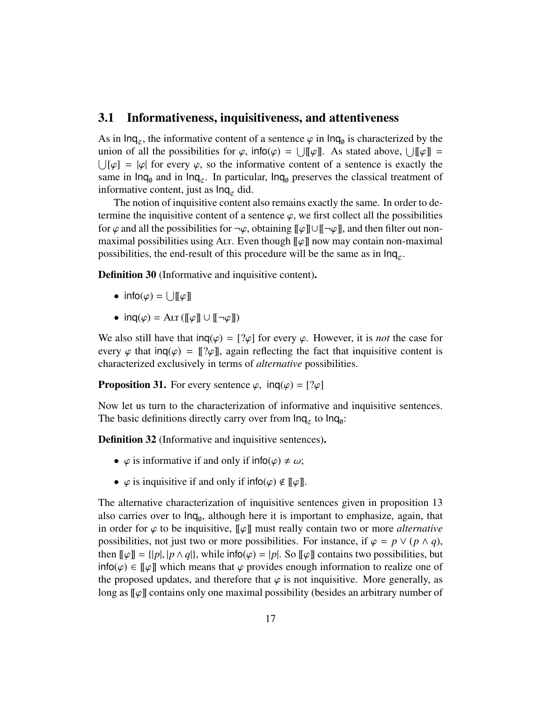#### 3.1 Informativeness, inquisitiveness, and attentiveness

As in  $\text{Inq}_{\varphi}$ , the informative content of a sentence  $\varphi$  in  $\text{Inq}_{\theta}$  is characterized by the union of all the possibilities for  $\varphi$  info $(\varphi)$  =  $\Box$  as stated above  $\Box$   $\Box$  = union of all the possibilities for  $\varphi$ , info( $\varphi$ ) =  $\bigcup [\varphi]$ . As stated above,  $\bigcup [\varphi]$  =  $\bigcup [\varphi]$  for every  $\varphi$ , so the informative content of a sentence is exactly the  $\bigcup[\varphi] = |\varphi|$  for every  $\varphi$ , so the informative content of a sentence is exactly the same in  $Inq_{\emptyset}$  and in  $Inq_{\emptyset}$ . In particular,  $Inq_{\emptyset}$  preserves the classical treatment of informative content, just as  $\text{Inq}_{\sigma}$  did.

The notion of inquisitive content also remains exactly the same. In order to determine the inquisitive content of a sentence  $\varphi$ , we first collect all the possibilities for  $\varphi$  and all the possibilities for  $\neg \varphi$ , obtaining  $[\![\varphi]\!] \cup [\![\neg \varphi]\!]$ , and then filter out nonmaximal possibilities using Altr. Even though  $\llbracket \varphi \rrbracket$  now may contain non-maximal possibilities, the end-result of this procedure will be the same as in  $\text{Inq}_\alpha$ .

Definition 30 (Informative and inquisitive content).

- info $(\varphi) = \bigcup [\![\varphi]\!]$
- $\text{ind}(\varphi) = \text{Arr} (\llbracket \varphi \rrbracket \cup \llbracket \neg \varphi \rrbracket)$

We also still have that  $\text{inq}(\varphi) = [\varphi]$  for every  $\varphi$ . However, it is *not* the case for every  $\varphi$  that ing( $\varphi$ ) = [[? $\varphi$ ]], again reflecting the fact that inquisitive content is characterized exclusively in terms of *alternative* possibilities.

**Proposition 31.** For every sentence  $\varphi$ , inq( $\varphi$ ) = [ $?$  $\varphi$ ]

Now let us turn to the characterization of informative and inquisitive sentences. The basic definitions directly carry over from  $\text{Inq}_{\phi}$  to  $\text{Inq}_{\phi}$ :

Definition 32 (Informative and inquisitive sentences).

- $\varphi$  is informative if and only if info( $\varphi$ )  $\neq \omega$ ;
- $\varphi$  is inquisitive if and only if  $\text{info}(\varphi) \notin [\![\varphi]\!]$ .

The alternative characterization of inquisitive sentences given in proposition [13](#page-12-0) also carries over to  $\text{Inq}_{\emptyset}$ , although here it is important to emphasize, again, that in order for  $\varphi$  to be inquisitive,  $[\![\varphi]\!]$  must really contain two or more *alternative* possibilities, not just two or more possibilities. For instance, if  $\varphi = p \vee (p \wedge q)$ , then  $[\![\varphi]\!] = \{|p|, |p \wedge q|\}$ , while info( $\varphi$ ) = |p|. So  $[\![\varphi]\!]$  contains two possibilities, but  $info(\varphi) \in [\varphi]$  which means that  $\varphi$  provides enough information to realize one of the proposed updates, and therefore that  $\varphi$  is not inquisitive. More generally, as long as  $\llbracket \varphi \rrbracket$  contains only one maximal possibility (besides an arbitrary number of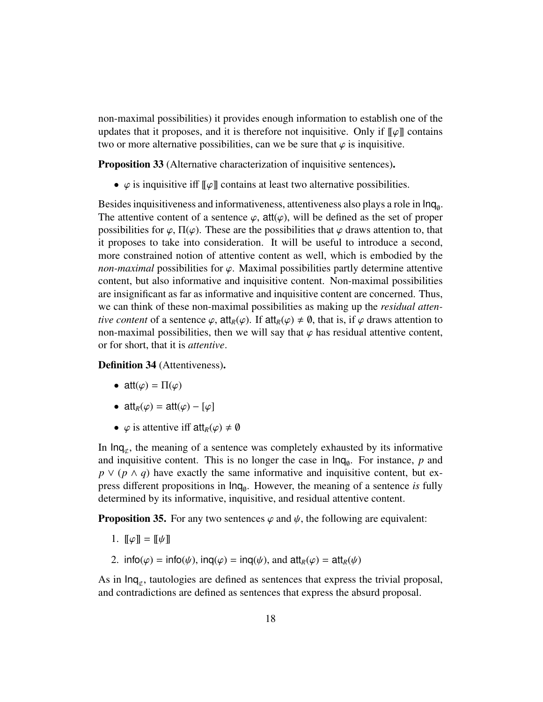non-maximal possibilities) it provides enough information to establish one of the updates that it proposes, and it is therefore not inquisitive. Only if  $\llbracket \phi \rrbracket$  contains two or more alternative possibilities, can we be sure that  $\varphi$  is inquisitive.

Proposition 33 (Alternative characterization of inquisitive sentences).

•  $\varphi$  is inquisitive iff  $\llbracket \varphi \rrbracket$  contains at least two alternative possibilities.

Besides inquisitiveness and informativeness, attentiveness also plays a role in  $Inq_{\emptyset}$ . The attentive content of a sentence  $\varphi$ , att $(\varphi)$ , will be defined as the set of proper possibilities for  $\varphi$ ,  $\Pi(\varphi)$ . These are the possibilities that  $\varphi$  draws attention to, that it proposes to take into consideration. It will be useful to introduce a second, more constrained notion of attentive content as well, which is embodied by the *non-maximal* possibilities for  $\varphi$ . Maximal possibilities partly determine attentive content, but also informative and inquisitive content. Non-maximal possibilities are insignificant as far as informative and inquisitive content are concerned. Thus, we can think of these non-maximal possibilities as making up the *residual attentive content* of a sentence  $\varphi$ , att<sub>*R*</sub>( $\varphi$ ). If att<sub>*R*</sub>( $\varphi$ )  $\neq$  0, that is, if  $\varphi$  draws attention to non-maximal possibilities, then we will say that  $\varphi$  has residual attentive content, or for short, that it is *attentive*.

Definition 34 (Attentiveness).

- att $(\varphi) = \Pi(\varphi)$
- att<sub> $R(\varphi)$ </sub> = att $(\varphi)$   $[\varphi]$
- $\varphi$  is attentive iff  $\text{att}_R(\varphi) \neq \emptyset$

In  $\text{In} \, \text{In} \, \text{q}_\tau$ , the meaning of a sentence was completely exhausted by its informative and inquisitive content. This is no longer the case in  $Inq<sub>0</sub>$ . For instance, *p* and  $p \vee (p \wedge q)$  have exactly the same informative and inquisitive content, but express different propositions in  $Inq<sub>0</sub>$ . However, the meaning of a sentence *is* fully determined by its informative, inquisitive, and residual attentive content.

**Proposition 35.** For any two sentences  $\varphi$  and  $\psi$ , the following are equivalent:

- 1.  $\mathbb{I}\varphi\mathbb{I} = \mathbb{I}\psi\mathbb{I}$
- 2. info( $\varphi$ ) = info( $\psi$ ), inq( $\varphi$ ) = inq( $\psi$ ), and att<sub>*R*</sub>( $\varphi$ ) = att<sub>*R*</sub>( $\psi$ )

As in  $\text{Inq}_{\tau}$ , tautologies are defined as sentences that express the trivial proposal, and contradictions are defined as sentences that express the absurd proposal.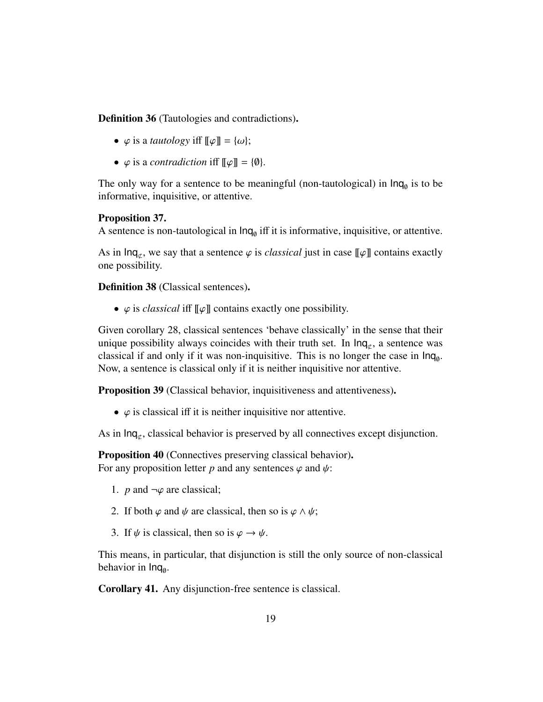Definition 36 (Tautologies and contradictions).

- $\varphi$  is a *tautology* iff  $[\![\varphi]\!] = {\omega};$
- $\varphi$  is a *contradiction* iff  $[\![\varphi]\!] = \{\emptyset\}.$

The only way for a sentence to be meaningful (non-tautological) in  $\text{Inq}_{\emptyset}$  is to be informative, inquisitive, or attentive.

#### Proposition 37.

A sentence is non-tautological in  $\text{Inq}_{\emptyset}$  iff it is informative, inquisitive, or attentive.

As in  $\text{Inq}_{\phi}$ , we say that a sentence  $\varphi$  is *classical* just in case  $[\![\varphi]\!]$  contains exactly one possibility one possibility.

Definition 38 (Classical sentences).

•  $\varphi$  is *classical* iff  $\llbracket \varphi \rrbracket$  contains exactly one possibility.

Given corollary [28,](#page-16-1) classical sentences 'behave classically' in the sense that their unique possibility always coincides with their truth set. In  $\text{Inq}_{\alpha}$ , a sentence was classical if and only if it was non-inquisitive. This is no longer the case in  $Inq_{\emptyset}$ . Now, a sentence is classical only if it is neither inquisitive nor attentive.

Proposition 39 (Classical behavior, inquisitiveness and attentiveness).

•  $\varphi$  is classical iff it is neither inquisitive nor attentive.

As in  $\text{Inq}_{\tau}$ , classical behavior is preserved by all connectives except disjunction.

Proposition 40 (Connectives preserving classical behavior). For any proposition letter  $p$  and any sentences  $\varphi$  and  $\psi$ :

- 1. *p* and  $\neg \varphi$  are classical;
- 2. If both  $\varphi$  and  $\psi$  are classical, then so is  $\varphi \wedge \psi$ ;
- 3. If  $\psi$  is classical, then so is  $\varphi \to \psi$ .

This means, in particular, that disjunction is still the only source of non-classical behavior in  $Inq_{\emptyset}$ .

Corollary 41. Any disjunction-free sentence is classical.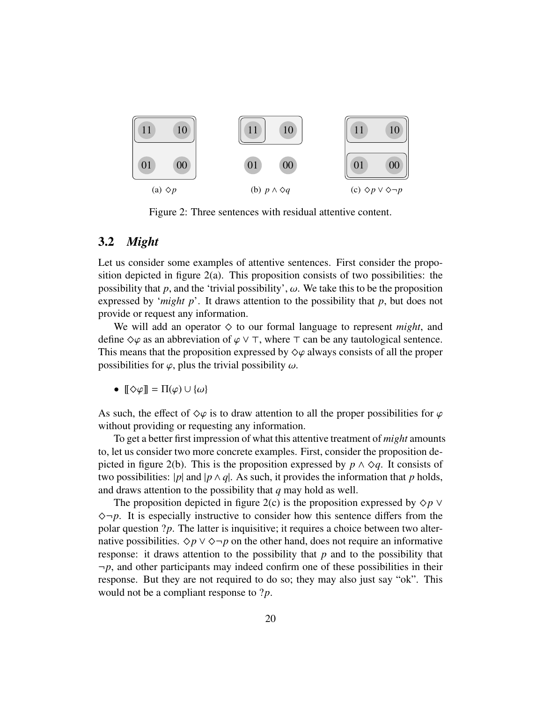<span id="page-20-0"></span>

<span id="page-20-2"></span><span id="page-20-1"></span>Figure 2: Three sentences with residual attentive content.

#### 3.2 *Might*

Let us consider some examples of attentive sentences. First consider the proposition depicted in figure  $2(a)$ . This proposition consists of two possibilities: the possibility that *p*, and the 'trivial possibility',  $\omega$ . We take this to be the proposition expressed by '*might p*'. It draws attention to the possibility that *p*, but does not provide or request any information.

We will add an operator  $\diamond$  to our formal language to represent *might*, and define  $\Diamond \varphi$  as an abbreviation of  $\varphi \lor \top$ , where  $\top$  can be any tautological sentence. This means that the proposition expressed by  $\Diamond \varphi$  always consists of all the proper possibilities for  $\varphi$ , plus the trivial possibility  $\omega$ .

•  $\llbracket \diamond \varphi \rrbracket = \Pi(\varphi) \cup \{\omega\}$ 

As such, the effect of  $\Diamond \varphi$  is to draw attention to all the proper possibilities for  $\varphi$ without providing or requesting any information.

To get a better first impression of what this attentive treatment of *might* amounts to, let us consider two more concrete examples. First, consider the proposition de-picted in figure [2\(b\).](#page-20-1) This is the proposition expressed by  $p \wedge \Diamond q$ . It consists of two possibilities:  $|p|$  and  $|p \wedge q|$ . As such, it provides the information that *p* holds, and draws attention to the possibility that *q* may hold as well.

The proposition depicted in figure [2\(c\)](#page-20-2) is the proposition expressed by  $\Diamond p \lor \Diamond p$  $\Diamond \neg p$ . It is especially instructive to consider how this sentence differs from the polar question ?*p*. The latter is inquisitive; it requires a choice between two alternative possibilities.  $\Diamond p \lor \Diamond \neg p$  on the other hand, does not require an informative response: it draws attention to the possibility that *p* and to the possibility that  $\neg p$ , and other participants may indeed confirm one of these possibilities in their response. But they are not required to do so; they may also just say "ok". This would not be a compliant response to ?*p*.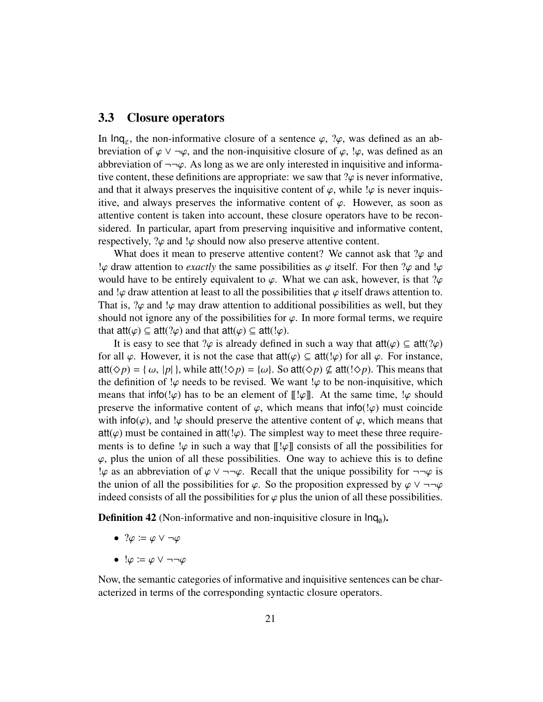### 3.3 Closure operators

In  $\text{In} \text{Inq}_{\phi}$ , the non-informative closure of a sentence  $\varphi$ , ? $\varphi$ , was defined as an ab-<br>breviation of  $\varphi \vee \neg \varphi$  and the non-inquisitive closure of  $\varphi$ , les was defined as an breviation of  $\varphi \lor \neg \varphi$ , and the non-inquisitive closure of  $\varphi$ ,  $\psi$ , was defined as an abbreviation of  $\neg\neg\varphi$ . As long as we are only interested in inquisitive and informative content, these definitions are appropriate: we saw that  $\varphi$  is never informative, and that it always preserves the inquisitive content of  $\varphi$ , while  $\varphi$  is never inquisitive, and always preserves the informative content of  $\varphi$ . However, as soon as attentive content is taken into account, these closure operators have to be reconsidered. In particular, apart from preserving inquisitive and informative content, respectively,  $\varphi$  and  $\varphi$  should now also preserve attentive content.

What does it mean to preserve attentive content? We cannot ask that  $\varphi$  and  $\psi \phi$  draw attention to *exactly* the same possibilities as  $\varphi$  itself. For then  $\psi \phi$  and  $\psi \phi$ would have to be entirely equivalent to  $\varphi$ . What we can ask, however, is that  $\varphi$ and ! $\varphi$  draw attention at least to all the possibilities that  $\varphi$  itself draws attention to. That is,  $\varphi$  and  $\varphi$  may draw attention to additional possibilities as well, but they should not ignore any of the possibilities for  $\varphi$ . In more formal terms, we require that  $\text{att}(\varphi) \subseteq \text{att}(?\varphi)$  and that  $\text{att}(\varphi) \subseteq \text{att}(!\varphi)$ .

It is easy to see that ? $\varphi$  is already defined in such a way that  $\text{att}(\varphi) \subseteq \text{att}(? \varphi)$ for all  $\varphi$ . However, it is not the case that  $\text{att}(\varphi) \subseteq \text{att}(\varphi)$  for all  $\varphi$ . For instance,  $\text{att}(\Diamond p) = \{ \omega, |p| \}$ , while att $(\Diamond p) = \{ \omega \}$ . So att $(\Diamond p) \nsubseteq \text{att}(\Diamond p)$ . This means that the definition of  $\varphi$  needs to be revised. We want  $\varphi$  to be non-inquisitive, which means that info(! $\varphi$ ) has to be an element of  $[[\cdot \varphi]]$ . At the same time,  $\varphi$  should preserve the informative content of  $\varphi$ , which means that info(! $\varphi$ ) must coincide with info( $\varphi$ ), and ! $\varphi$  should preserve the attentive content of  $\varphi$ , which means that  $att(\varphi)$  must be contained in  $att(\psi)$ . The simplest way to meet these three requirements is to define ! $\varphi$  in such a way that  $\llbracket |\varphi| \rrbracket$  consists of all the possibilities for  $\varphi$ , plus the union of all these possibilities. One way to achieve this is to define ! $\varphi$  as an abbreviation of  $\varphi \vee \neg \neg \varphi$ . Recall that the unique possibility for  $\neg \neg \varphi$  is the union of all the possibilities for  $\varphi$ . So the proposition expressed by  $\varphi \vee \neg \neg \varphi$ indeed consists of all the possibilities for  $\varphi$  plus the union of all these possibilities.

**Definition 42** (Non-informative and non-inquisitive closure in  $Inq_{\emptyset}$ ).

- $?$  $\varphi \coloneqq \varphi \vee \neg \varphi$
- $\bullet$   $\phi := \varphi \vee \neg \neg \varphi$

Now, the semantic categories of informative and inquisitive sentences can be characterized in terms of the corresponding syntactic closure operators.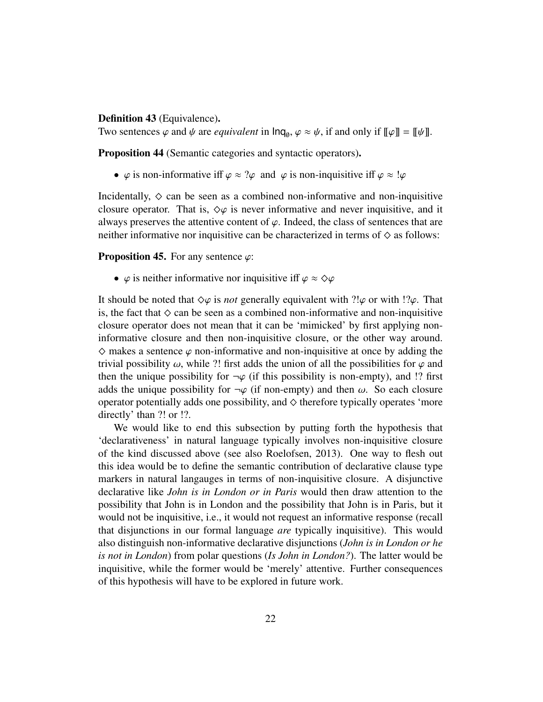#### Definition 43 (Equivalence).

Two sentences  $\varphi$  and  $\psi$  are *equivalent* in  $\text{Inq}_{\emptyset}$ ,  $\varphi \approx \psi$ , if and only if  $[\![\varphi]\!] = [\![\psi]\!]$ .

Proposition 44 (Semantic categories and syntactic operators).

•  $\varphi$  is non-informative iff  $\varphi \approx ?\varphi$  and  $\varphi$  is non-inquisitive iff  $\varphi \approx !\varphi$ 

Incidentally,  $\diamond$  can be seen as a combined non-informative and non-inquisitive closure operator. That is,  $\Diamond \varphi$  is never informative and never inquisitive, and it always preserves the attentive content of  $\varphi$ . Indeed, the class of sentences that are neither informative nor inquisitive can be characterized in terms of  $\diamond$  as follows:

**Proposition 45.** For any sentence  $\varphi$ :

•  $\varphi$  is neither informative nor inquisitive iff  $\varphi \approx \Diamond \varphi$ 

It should be noted that  $\Diamond \varphi$  is *not* generally equivalent with ?! $\varphi$  or with !? $\varphi$ . That is, the fact that  $\diamond$  can be seen as a combined non-informative and non-inquisitive closure operator does not mean that it can be 'mimicked' by first applying noninformative closure and then non-inquisitive closure, or the other way around.  $\diamond$  makes a sentence  $\varphi$  non-informative and non-inquisitive at once by adding the trivial possibility  $\omega$ , while ?! first adds the union of all the possibilities for  $\varphi$  and then the unique possibility for  $\neg \varphi$  (if this possibility is non-empty), and !? first adds the unique possibility for  $\neg \varphi$  (if non-empty) and then  $\omega$ . So each closure operator potentially adds one possibility, and  $\diamond$  therefore typically operates 'more directly' than ?! or !?.

We would like to end this subsection by putting forth the hypothesis that 'declarativeness' in natural language typically involves non-inquisitive closure of the kind discussed above (see also [Roelofsen,](#page-39-1) [2013\)](#page-39-1). One way to flesh out this idea would be to define the semantic contribution of declarative clause type markers in natural langauges in terms of non-inquisitive closure. A disjunctive declarative like *John is in London or in Paris* would then draw attention to the possibility that John is in London and the possibility that John is in Paris, but it would not be inquisitive, i.e., it would not request an informative response (recall that disjunctions in our formal language *are* typically inquisitive). This would also distinguish non-informative declarative disjunctions (*John is in London or he is not in London*) from polar questions (*Is John in London?*). The latter would be inquisitive, while the former would be 'merely' attentive. Further consequences of this hypothesis will have to be explored in future work.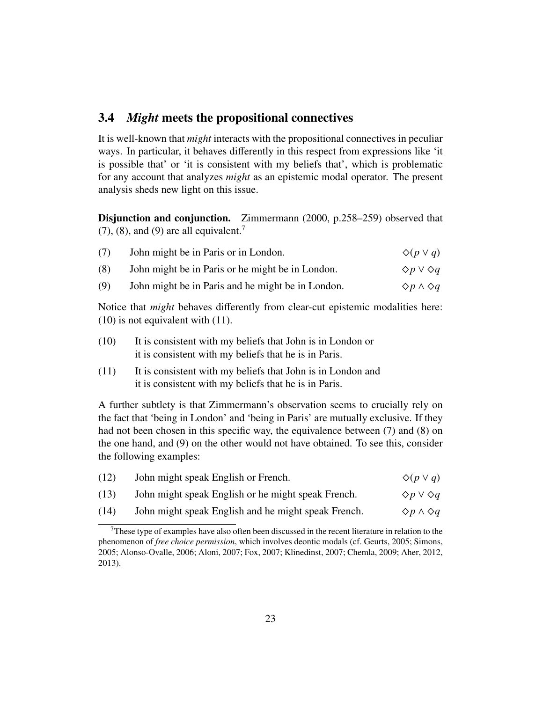### <span id="page-23-0"></span>3.4 *Might* meets the propositional connectives

It is well-known that *might* interacts with the propositional connectives in peculiar ways. In particular, it behaves differently in this respect from expressions like 'it is possible that' or 'it is consistent with my beliefs that', which is problematic for any account that analyzes *might* as an epistemic modal operator. The present analysis sheds new light on this issue.

Disjunction and conjunction. [Zimmermann](#page-39-0) [\(2000,](#page-39-0) p.258–259) observed that  $(7)$  $(7)$  $(7)$ ,  $(8)$ , and  $(9)$  are all equivalent.<sup>7</sup>

<span id="page-23-3"></span><span id="page-23-2"></span><span id="page-23-1"></span>

| (7) | John might be in Paris or in London.              | $\Diamond (p \vee q)$         |
|-----|---------------------------------------------------|-------------------------------|
| (8) | John might be in Paris or he might be in London.  | $\Diamond p \vee \Diamond q$  |
| (9) | John might be in Paris and he might be in London. | $\Diamond p \land \Diamond q$ |

Notice that *might* behaves differently from clear-cut epistemic modalities here: (10) is not equivalent with (11).

- (10) It is consistent with my beliefs that John is in London or it is consistent with my beliefs that he is in Paris.
- (11) It is consistent with my beliefs that John is in London and it is consistent with my beliefs that he is in Paris.

A further subtlety is that Zimmermann's observation seems to crucially rely on the fact that 'being in London' and 'being in Paris' are mutually exclusive. If they had not been chosen in this specific way, the equivalence between [\(7\)](#page-23-1) and [\(8\)](#page-23-2) on the one hand, and [\(9\)](#page-23-3) on the other would not have obtained. To see this, consider the following examples:

<span id="page-23-6"></span><span id="page-23-5"></span>

| (12) | John might speak English or French.                 | $\Diamond (p \vee q)$         |
|------|-----------------------------------------------------|-------------------------------|
| (13) | John might speak English or he might speak French.  | $\Diamond p \vee \Diamond q$  |
| (14) | John might speak English and he might speak French. | $\Diamond p \land \Diamond q$ |

<span id="page-23-7"></span> $<sup>7</sup>$ These type of examples have also often been discussed in the recent literature in relation to the</sup>

<span id="page-23-4"></span>phenomenon of *free choice permission*, which involves deontic modals (cf. [Geurts,](#page-37-6) [2005;](#page-37-6) [Simons,](#page-39-5) [2005;](#page-39-5) [Alonso-Ovalle,](#page-35-0) [2006;](#page-35-0) [Aloni,](#page-35-1) [2007;](#page-35-1) [Fox,](#page-37-7) [2007;](#page-37-7) [Klinedinst,](#page-38-3) [2007;](#page-38-3) [Chemla,](#page-36-9) [2009;](#page-36-9) [Aher,](#page-35-2) [2012,](#page-35-2) [2013\)](#page-35-3).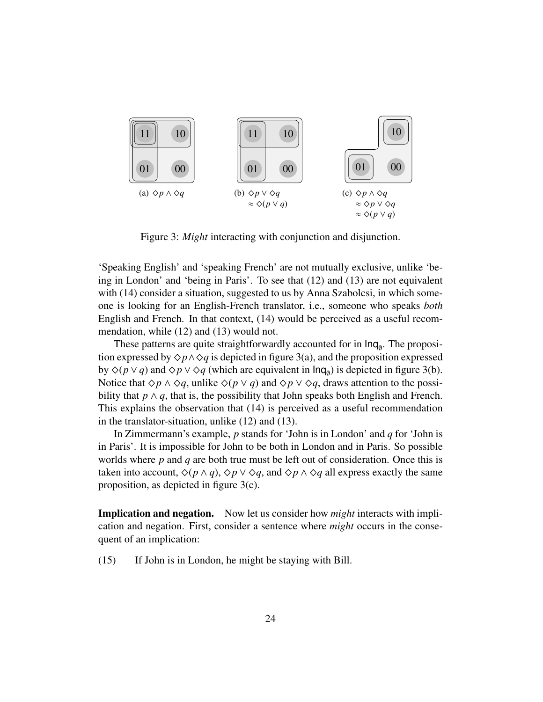<span id="page-24-0"></span>

<span id="page-24-2"></span><span id="page-24-1"></span>Figure 3: *Might* interacting with conjunction and disjunction.

'Speaking English' and 'speaking French' are not mutually exclusive, unlike 'being in London' and 'being in Paris'. To see that [\(12\)](#page-23-5) and [\(13\)](#page-23-6) are not equivalent with [\(14\)](#page-23-7) consider a situation, suggested to us by Anna Szabolcsi, in which someone is looking for an English-French translator, i.e., someone who speaks *both* English and French. In that context, [\(14\)](#page-23-7) would be perceived as a useful recommendation, while [\(12\)](#page-23-5) and [\(13\)](#page-23-6) would not.

These patterns are quite straightforwardly accounted for in  $Inq<sub>0</sub>$ . The proposition expressed by  $\Diamond p \land \Diamond q$  is depicted in figure [3\(a\),](#page-24-0) and the proposition expressed by  $\Diamond(p \lor q)$  and  $\Diamond p \lor \Diamond q$  (which are equivalent in  $Inq_{\emptyset}$ ) is depicted in figure [3\(b\).](#page-24-1) Notice that  $\Diamond p \land \Diamond q$ , unlike  $\Diamond (p \lor q)$  and  $\Diamond p \lor \Diamond q$ , draws attention to the possibility that *p*  $\land$  *q*, that is, the possibility that John speaks both English and French. This explains the observation that [\(14\)](#page-23-7) is perceived as a useful recommendation in the translator-situation, unlike [\(12\)](#page-23-5) and [\(13\).](#page-23-6)

In Zimmermann's example, *p* stands for 'John is in London' and *q* for 'John is in Paris'. It is impossible for John to be both in London and in Paris. So possible worlds where *p* and *q* are both true must be left out of consideration. Once this is taken into account,  $\Diamond (p \land q)$ ,  $\Diamond p \lor \Diamond q$ , and  $\Diamond p \land \Diamond q$  all express exactly the same proposition, as depicted in figure [3\(c\).](#page-24-2)

Implication and negation. Now let us consider how *might* interacts with implication and negation. First, consider a sentence where *might* occurs in the consequent of an implication:

(15) If John is in London, he might be staying with Bill.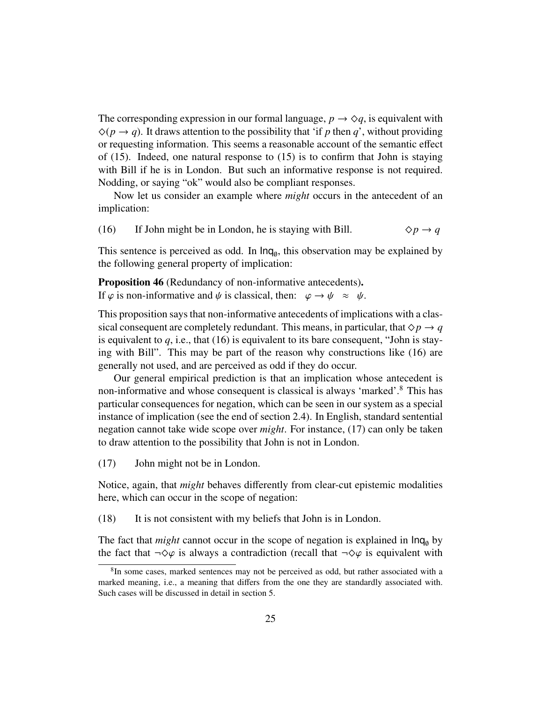The corresponding expression in our formal language,  $p \rightarrow \Diamond q$ , is equivalent with  $\Diamond(p \rightarrow q)$ . It draws attention to the possibility that 'if *p* then *q*', without providing or requesting information. This seems a reasonable account of the semantic effect of  $(15)$ . Indeed, one natural response to  $(15)$  is to confirm that John is staying with Bill if he is in London. But such an informative response is not required. Nodding, or saying "ok" would also be compliant responses.

Now let us consider an example where *might* occurs in the antecedent of an implication:

<span id="page-25-0"></span>(16) If John might be in London, he is staying with Bill.  $\Diamond p \rightarrow q$ 

This sentence is perceived as odd. In  $\text{Inq}_{\emptyset}$ , this observation may be explained by the following general property of implication:

<span id="page-25-2"></span>Proposition 46 (Redundancy of non-informative antecedents). If  $\varphi$  is non-informative and  $\psi$  is classical, then:  $\varphi \to \psi \approx \psi$ .

This proposition says that non-informative antecedents of implications with a classical consequent are completely redundant. This means, in particular, that  $\Diamond p \rightarrow q$ is equivalent to  $q$ , i.e., that  $(16)$  is equivalent to its bare consequent, "John is staying with Bill". This may be part of the reason why constructions like [\(16\)](#page-25-0) are generally not used, and are perceived as odd if they do occur.

Our general empirical prediction is that an implication whose antecedent is non-informative and whose consequent is classical is always 'marked'.<sup>[8](#page-25-1)</sup> This has particular consequences for negation, which can be seen in our system as a special instance of implication (see the end of section [2.4\)](#page-8-1). In English, standard sentential negation cannot take wide scope over *might*. For instance, (17) can only be taken to draw attention to the possibility that John is not in London.

(17) John might not be in London.

Notice, again, that *might* behaves differently from clear-cut epistemic modalities here, which can occur in the scope of negation:

(18) It is not consistent with my beliefs that John is in London.

The fact that *might* cannot occur in the scope of negation is explained in  $\ln q_0$  by the fact that  $\neg \Diamond \varphi$  is always a contradiction (recall that  $\neg \Diamond \varphi$  is equivalent with

<span id="page-25-1"></span><sup>&</sup>lt;sup>8</sup>In some cases, marked sentences may not be perceived as odd, but rather associated with a marked meaning, i.e., a meaning that differs from the one they are standardly associated with. Such cases will be discussed in detail in section [5.](#page-30-0)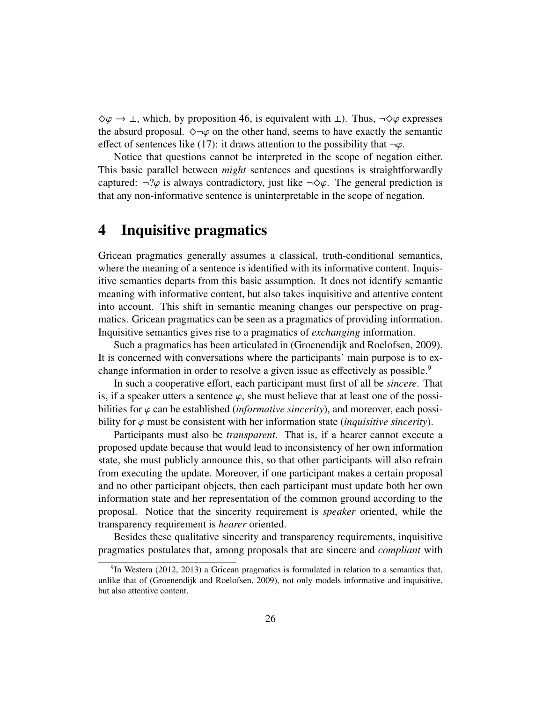$\diamond \varphi \rightarrow \bot$ , which, by proposition [46,](#page-25-2) is equivalent with  $\bot$ ). Thus,  $\neg \diamond \varphi$  expresses the absurd proposal.  $\Diamond \neg \varphi$  on the other hand, seems to have exactly the semantic effect of sentences like (17): it draws attention to the possibility that  $\neg \varphi$ .

Notice that questions cannot be interpreted in the scope of negation either. This basic parallel between *might* sentences and questions is straightforwardly captured:  $\neg$ ? $\varphi$  is always contradictory, just like  $\neg$  $\diamond \varphi$ . The general prediction is that any non-informative sentence is uninterpretable in the scope of negation.

## <span id="page-26-0"></span>4 Inquisitive pragmatics

Gricean pragmatics generally assumes a classical, truth-conditional semantics, where the meaning of a sentence is identified with its informative content. Inquisitive semantics departs from this basic assumption. It does not identify semantic meaning with informative content, but also takes inquisitive and attentive content into account. This shift in semantic meaning changes our perspective on pragmatics. Gricean pragmatics can be seen as a pragmatics of providing information. Inquisitive semantics gives rise to a pragmatics of *exchanging* information.

Such a pragmatics has been articulated in [\(Groenendijk and Roelofsen,](#page-37-0) [2009\)](#page-37-0). It is concerned with conversations where the participants' main purpose is to ex-change information in order to resolve a given issue as effectively as possible.<sup>[9](#page-26-1)</sup>

In such a cooperative effort, each participant must first of all be *sincere*. That is, if a speaker utters a sentence  $\varphi$ , she must believe that at least one of the possibilities for  $\varphi$  can be established *(informative sincerity)*, and moreover, each possibility for  $\varphi$  must be consistent with her information state *(inquisitive sincerity)*.

Participants must also be *transparent*. That is, if a hearer cannot execute a proposed update because that would lead to inconsistency of her own information state, she must publicly announce this, so that other participants will also refrain from executing the update. Moreover, if one participant makes a certain proposal and no other participant objects, then each participant must update both her own information state and her representation of the common ground according to the proposal. Notice that the sincerity requirement is *speaker* oriented, while the transparency requirement is *hearer* oriented.

Besides these qualitative sincerity and transparency requirements, inquisitive pragmatics postulates that, among proposals that are sincere and *compliant* with

<span id="page-26-1"></span> $9$ In [Westera](#page-39-6) [\(2012,](#page-39-6) [2013\)](#page-39-7) a Gricean pragmatics is formulated in relation to a semantics that, unlike that of [\(Groenendijk and Roelofsen,](#page-37-0) [2009\)](#page-37-0), not only models informative and inquisitive, but also attentive content.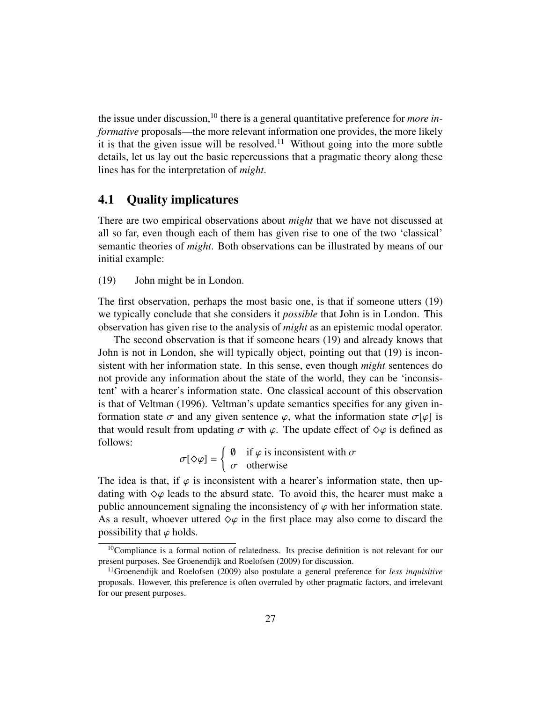the issue under discussion,<sup>[10](#page-27-0)</sup> there is a general quantitative preference for *more informative* proposals—the more relevant information one provides, the more likely it is that the given issue will be resolved.<sup>[11](#page-27-1)</sup> Without going into the more subtle details, let us lay out the basic repercussions that a pragmatic theory along these lines has for the interpretation of *might*.

### 4.1 Quality implicatures

There are two empirical observations about *might* that we have not discussed at all so far, even though each of them has given rise to one of the two 'classical' semantic theories of *might*. Both observations can be illustrated by means of our initial example:

<span id="page-27-2"></span>(19) John might be in London.

The first observation, perhaps the most basic one, is that if someone utters [\(19\)](#page-27-2) we typically conclude that she considers it *possible* that John is in London. This observation has given rise to the analysis of *might* as an epistemic modal operator.

The second observation is that if someone hears [\(19\)](#page-27-2) and already knows that John is not in London, she will typically object, pointing out that [\(19\)](#page-27-2) is inconsistent with her information state. In this sense, even though *might* sentences do not provide any information about the state of the world, they can be 'inconsistent' with a hearer's information state. One classical account of this observation is that of [Veltman](#page-39-4) [\(1996\)](#page-39-4). Veltman's update semantics specifies for any given information state  $\sigma$  and any given sentence  $\varphi$ , what the information state  $\sigma[\varphi]$  is that would result from updating  $\sigma$  with  $\varphi$ . The update effect of  $\diamond \varphi$  is defined as follows:

 $\sigma[\diamond\varphi] = \begin{cases} \emptyset & \text{if } \varphi \text{ is inconsistent with } \sigma \\ \sigma & \text{otherwise} \end{cases}$  $\sigma$  otherwise

The idea is that, if  $\varphi$  is inconsistent with a hearer's information state, then updating with  $\Diamond \varphi$  leads to the absurd state. To avoid this, the hearer must make a public announcement signaling the inconsistency of  $\varphi$  with her information state. As a result, whoever uttered  $\Diamond \varphi$  in the first place may also come to discard the possibility that  $\varphi$  holds.

<span id="page-27-0"></span><sup>&</sup>lt;sup>10</sup>Compliance is a formal notion of relatedness. Its precise definition is not relevant for our present purposes. See [Groenendijk and Roelofsen](#page-37-0) [\(2009\)](#page-37-0) for discussion.

<span id="page-27-1"></span><sup>11</sup>[Groenendijk and Roelofsen](#page-37-0) [\(2009\)](#page-37-0) also postulate a general preference for *less inquisitive* proposals. However, this preference is often overruled by other pragmatic factors, and irrelevant for our present purposes.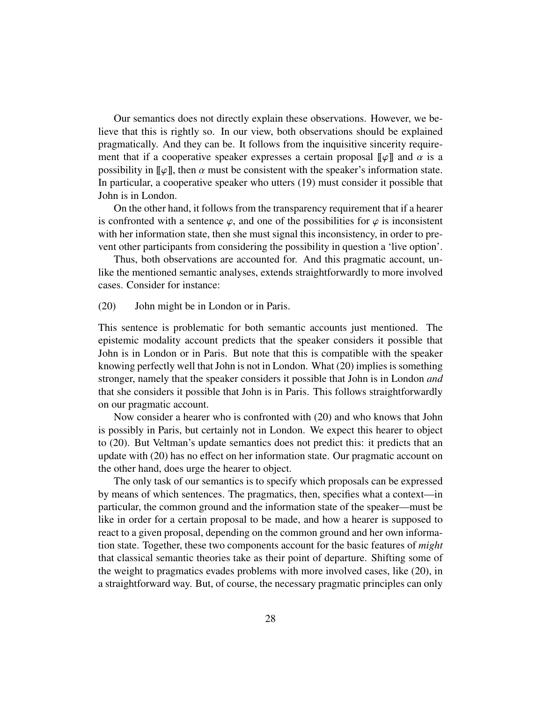Our semantics does not directly explain these observations. However, we believe that this is rightly so. In our view, both observations should be explained pragmatically. And they can be. It follows from the inquisitive sincerity requirement that if a cooperative speaker expresses a certain proposal  $\llbracket \varphi \rrbracket$  and  $\alpha$  is a possibility in  $\llbracket \varphi \rrbracket$ , then  $\alpha$  must be consistent with the speaker's information state. In particular, a cooperative speaker who utters [\(19\)](#page-27-2) must consider it possible that John is in London.

On the other hand, it follows from the transparency requirement that if a hearer is confronted with a sentence  $\varphi$ , and one of the possibilities for  $\varphi$  is inconsistent with her information state, then she must signal this inconsistency, in order to prevent other participants from considering the possibility in question a 'live option'.

Thus, both observations are accounted for. And this pragmatic account, unlike the mentioned semantic analyses, extends straightforwardly to more involved cases. Consider for instance:

<span id="page-28-0"></span>(20) John might be in London or in Paris.

This sentence is problematic for both semantic accounts just mentioned. The epistemic modality account predicts that the speaker considers it possible that John is in London or in Paris. But note that this is compatible with the speaker knowing perfectly well that John is not in London. What [\(20\)](#page-28-0) implies is something stronger, namely that the speaker considers it possible that John is in London *and* that she considers it possible that John is in Paris. This follows straightforwardly on our pragmatic account.

Now consider a hearer who is confronted with [\(20\)](#page-28-0) and who knows that John is possibly in Paris, but certainly not in London. We expect this hearer to object to [\(20\).](#page-28-0) But Veltman's update semantics does not predict this: it predicts that an update with [\(20\)](#page-28-0) has no effect on her information state. Our pragmatic account on the other hand, does urge the hearer to object.

The only task of our semantics is to specify which proposals can be expressed by means of which sentences. The pragmatics, then, specifies what a context—in particular, the common ground and the information state of the speaker—must be like in order for a certain proposal to be made, and how a hearer is supposed to react to a given proposal, depending on the common ground and her own information state. Together, these two components account for the basic features of *might* that classical semantic theories take as their point of departure. Shifting some of the weight to pragmatics evades problems with more involved cases, like [\(20\),](#page-28-0) in a straightforward way. But, of course, the necessary pragmatic principles can only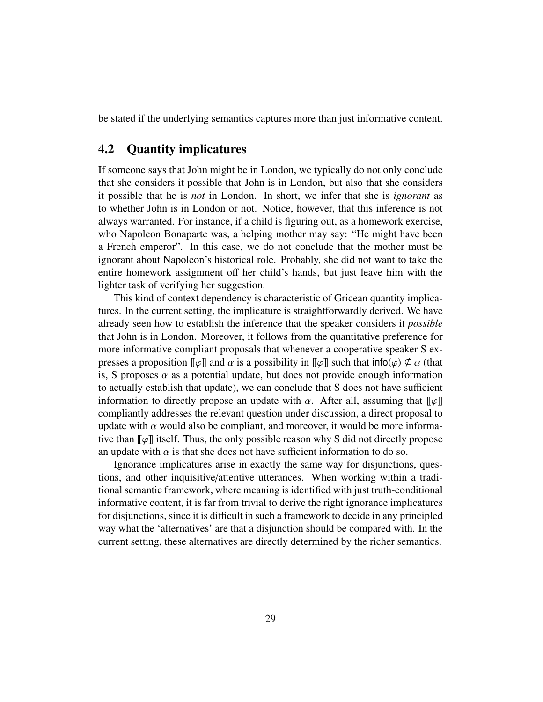be stated if the underlying semantics captures more than just informative content.

### 4.2 Quantity implicatures

If someone says that John might be in London, we typically do not only conclude that she considers it possible that John is in London, but also that she considers it possible that he is *not* in London. In short, we infer that she is *ignorant* as to whether John is in London or not. Notice, however, that this inference is not always warranted. For instance, if a child is figuring out, as a homework exercise, who Napoleon Bonaparte was, a helping mother may say: "He might have been a French emperor". In this case, we do not conclude that the mother must be ignorant about Napoleon's historical role. Probably, she did not want to take the entire homework assignment off her child's hands, but just leave him with the lighter task of verifying her suggestion.

This kind of context dependency is characteristic of Gricean quantity implicatures. In the current setting, the implicature is straightforwardly derived. We have already seen how to establish the inference that the speaker considers it *possible* that John is in London. Moreover, it follows from the quantitative preference for more informative compliant proposals that whenever a cooperative speaker S expresses a proposition  $\llbracket \varphi \rrbracket$  and  $\alpha$  is a possibility in  $\llbracket \varphi \rrbracket$  such that  $\text{info}(\varphi) \nsubseteq \alpha$  (that is, S proposes  $\alpha$  as a potential update, but does not provide enough information to actually establish that update), we can conclude that S does not have sufficient information to directly propose an update with  $\alpha$ . After all, assuming that  $\llbracket \varphi \rrbracket$ compliantly addresses the relevant question under discussion, a direct proposal to update with  $\alpha$  would also be compliant, and moreover, it would be more informative than  $\llbracket \varphi \rrbracket$  itself. Thus, the only possible reason why S did not directly propose an update with  $\alpha$  is that she does not have sufficient information to do so.

Ignorance implicatures arise in exactly the same way for disjunctions, questions, and other inquisitive/attentive utterances. When working within a traditional semantic framework, where meaning is identified with just truth-conditional informative content, it is far from trivial to derive the right ignorance implicatures for disjunctions, since it is difficult in such a framework to decide in any principled way what the 'alternatives' are that a disjunction should be compared with. In the current setting, these alternatives are directly determined by the richer semantics.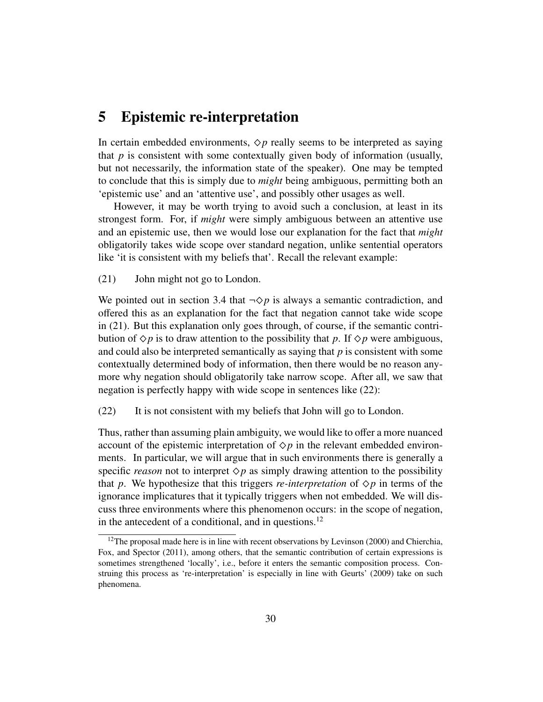## <span id="page-30-0"></span>5 Epistemic re-interpretation

In certain embedded environments,  $\Diamond p$  really seems to be interpreted as saying that *p* is consistent with some contextually given body of information (usually, but not necessarily, the information state of the speaker). One may be tempted to conclude that this is simply due to *might* being ambiguous, permitting both an 'epistemic use' and an 'attentive use', and possibly other usages as well.

However, it may be worth trying to avoid such a conclusion, at least in its strongest form. For, if *might* were simply ambiguous between an attentive use and an epistemic use, then we would lose our explanation for the fact that *might* obligatorily takes wide scope over standard negation, unlike sentential operators like 'it is consistent with my beliefs that'. Recall the relevant example:

<span id="page-30-2"></span>(21) John might not go to London.

We pointed out in section [3.4](#page-23-0) that  $\neg \Diamond p$  is always a semantic contradiction, and offered this as an explanation for the fact that negation cannot take wide scope in (21). But this explanation only goes through, of course, if the semantic contribution of  $\Diamond p$  is to draw attention to the possibility that *p*. If  $\Diamond p$  were ambiguous, and could also be interpreted semantically as saying that *p* is consistent with some contextually determined body of information, then there would be no reason anymore why negation should obligatorily take narrow scope. After all, we saw that negation is perfectly happy with wide scope in sentences like (22):

(22) It is not consistent with my beliefs that John will go to London.

Thus, rather than assuming plain ambiguity, we would like to offer a more nuanced account of the epistemic interpretation of  $\Diamond p$  in the relevant embedded environments. In particular, we will argue that in such environments there is generally a specific *reason* not to interpret  $\Diamond p$  as simply drawing attention to the possibility that *p*. We hypothesize that this triggers *re-interpretation* of  $\Diamond p$  in terms of the ignorance implicatures that it typically triggers when not embedded. We will discuss three environments where this phenomenon occurs: in the scope of negation, in the antecedent of a conditional, and in questions.<sup>[12](#page-30-1)</sup>

<span id="page-30-1"></span><sup>&</sup>lt;sup>12</sup>The proposal made here is in line with recent observations by [Levinson](#page-38-4)  $(2000)$  and [Chierchia,](#page-36-10) [Fox, and Spector](#page-36-10) [\(2011\)](#page-36-10), among others, that the semantic contribution of certain expressions is sometimes strengthened 'locally', i.e., before it enters the semantic composition process. Construing this process as 're-interpretation' is especially in line with Geurts' [\(2009\)](#page-37-8) take on such phenomena.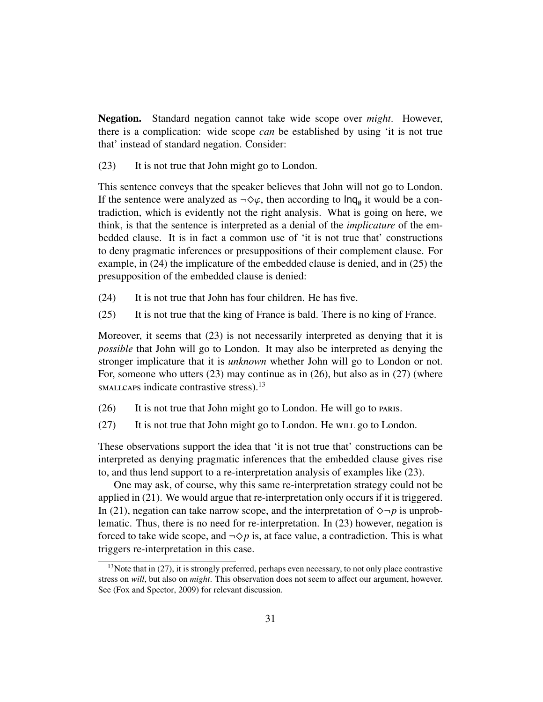Negation. Standard negation cannot take wide scope over *might*. However, there is a complication: wide scope *can* be established by using 'it is not true that' instead of standard negation. Consider:

<span id="page-31-0"></span>(23) It is not true that John might go to London.

This sentence conveys that the speaker believes that John will not go to London. If the sentence were analyzed as  $\neg \Diamond \varphi$ , then according to  $\text{Inq}_{\theta}$  it would be a contradiction, which is evidently not the right analysis. What is going on here, we tradiction, which is evidently not the right analysis. What is going on here, we think, is that the sentence is interpreted as a denial of the *implicature* of the embedded clause. It is in fact a common use of 'it is not true that' constructions to deny pragmatic inferences or presuppositions of their complement clause. For example, in (24) the implicature of the embedded clause is denied, and in (25) the presupposition of the embedded clause is denied:

- (24) It is not true that John has four children. He has five.
- (25) It is not true that the king of France is bald. There is no king of France.

Moreover, it seems that [\(23\)](#page-31-0) is not necessarily interpreted as denying that it is *possible* that John will go to London. It may also be interpreted as denying the stronger implicature that it is *unknown* whether John will go to London or not. For, someone who utters [\(23\)](#page-31-0) may continue as in (26), but also as in (27) (where smallcaps indicate contrastive stress).<sup>[13](#page-31-1)</sup>

- <span id="page-31-2"></span>(26) It is not true that John might go to London. He will go to paris.
- (27) It is not true that John might go to London. He will go to London.

These observations support the idea that 'it is not true that' constructions can be interpreted as denying pragmatic inferences that the embedded clause gives rise to, and thus lend support to a re-interpretation analysis of examples like [\(23\).](#page-31-0)

One may ask, of course, why this same re-interpretation strategy could not be applied in [\(21\).](#page-30-2) We would argue that re-interpretation only occurs if it is triggered. In [\(21\),](#page-30-2) negation can take narrow scope, and the interpretation of  $\Diamond \neg p$  is unproblematic. Thus, there is no need for re-interpretation. In [\(23\)](#page-31-0) however, negation is forced to take wide scope, and  $\neg$ *o* $p$  is, at face value, a contradiction. This is what triggers re-interpretation in this case.

<span id="page-31-1"></span> $13$ Note that in [\(27\),](#page-31-2) it is strongly preferred, perhaps even necessary, to not only place contrastive stress on *will*, but also on *might*. This observation does not seem to affect our argument, however. See [\(Fox and Spector,](#page-37-9) [2009\)](#page-37-9) for relevant discussion.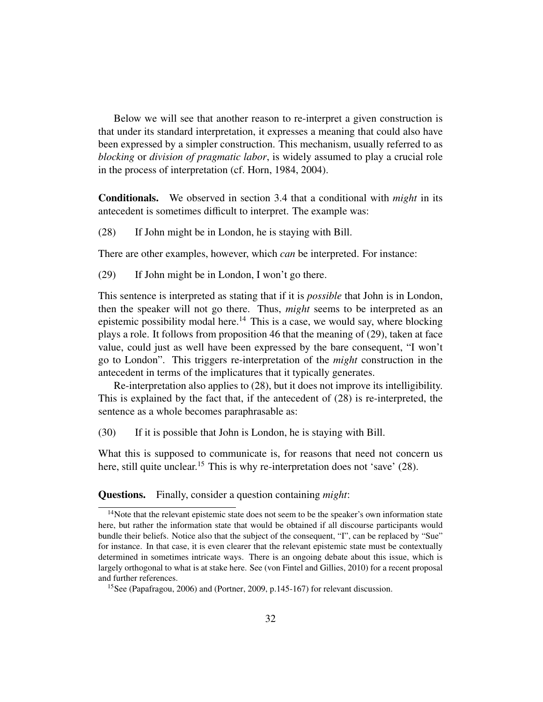Below we will see that another reason to re-interpret a given construction is that under its standard interpretation, it expresses a meaning that could also have been expressed by a simpler construction. This mechanism, usually referred to as *blocking* or *division of pragmatic labor*, is widely assumed to play a crucial role in the process of interpretation (cf. [Horn,](#page-38-5) [1984,](#page-38-5) [2004\)](#page-38-6).

Conditionals. We observed in section [3.4](#page-23-0) that a conditional with *might* in its antecedent is sometimes difficult to interpret. The example was:

<span id="page-32-2"></span>(28) If John might be in London, he is staying with Bill.

<span id="page-32-1"></span>There are other examples, however, which *can* be interpreted. For instance:

(29) If John might be in London, I won't go there.

This sentence is interpreted as stating that if it is *possible* that John is in London, then the speaker will not go there. Thus, *might* seems to be interpreted as an epistemic possibility modal here.<sup>[14](#page-32-0)</sup> This is a case, we would say, where blocking plays a role. It follows from proposition [46](#page-25-2) that the meaning of [\(29\),](#page-32-1) taken at face value, could just as well have been expressed by the bare consequent, "I won't go to London". This triggers re-interpretation of the *might* construction in the antecedent in terms of the implicatures that it typically generates.

Re-interpretation also applies to [\(28\),](#page-32-2) but it does not improve its intelligibility. This is explained by the fact that, if the antecedent of [\(28\)](#page-32-2) is re-interpreted, the sentence as a whole becomes paraphrasable as:

(30) If it is possible that John is London, he is staying with Bill.

What this is supposed to communicate is, for reasons that need not concern us here, still quite unclear.<sup>[15](#page-32-3)</sup> This is why re-interpretation does not 'save' [\(28\).](#page-32-2)

Questions. Finally, consider a question containing *might*:

<span id="page-32-4"></span><span id="page-32-0"></span><sup>&</sup>lt;sup>14</sup>Note that the relevant epistemic state does not seem to be the speaker's own information state here, but rather the information state that would be obtained if all discourse participants would bundle their beliefs. Notice also that the subject of the consequent, "I", can be replaced by "Sue" for instance. In that case, it is even clearer that the relevant epistemic state must be contextually determined in sometimes intricate ways. There is an ongoing debate about this issue, which is largely orthogonal to what is at stake here. See [\(von Fintel and Gillies,](#page-37-10) [2010\)](#page-37-10) for a recent proposal and further references.

<span id="page-32-3"></span><sup>15</sup>See [\(Papafragou,](#page-38-7) [2006\)](#page-38-7) and [\(Portner,](#page-38-8) [2009,](#page-38-8) p.145-167) for relevant discussion.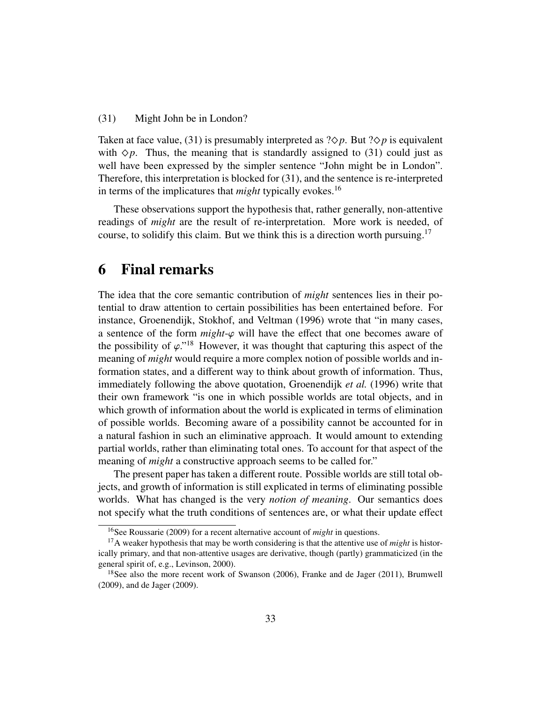(31) Might John be in London?

Taken at face value, [\(31\)](#page-32-4) is presumably interpreted as  $?\diamond p$ . But  $?\diamond p$  is equivalent with  $\Diamond p$ . Thus, the meaning that is standardly assigned to [\(31\)](#page-32-4) could just as well have been expressed by the simpler sentence "John might be in London". Therefore, this interpretation is blocked for [\(31\),](#page-32-4) and the sentence is re-interpreted in terms of the implicatures that *might* typically evokes.<sup>[16](#page-33-1)</sup>

These observations support the hypothesis that, rather generally, non-attentive readings of *might* are the result of re-interpretation. More work is needed, of course, to solidify this claim. But we think this is a direction worth pursuing.<sup>[17](#page-33-2)</sup>

## <span id="page-33-0"></span>6 Final remarks

The idea that the core semantic contribution of *might* sentences lies in their potential to draw attention to certain possibilities has been entertained before. For instance, [Groenendijk, Stokhof, and Veltman](#page-38-9) [\(1996\)](#page-38-9) wrote that "in many cases, a sentence of the form  $might-\varphi$  will have the effect that one becomes aware of the possibility of  $\varphi$ ."<sup>[18](#page-33-3)</sup> However, it was thought that capturing this aspect of the meaning of *might* would require a more complex notion of possible worlds and information states, and a different way to think about growth of information. Thus, immediately following the above quotation, [Groenendijk](#page-38-9) *et al.* [\(1996\)](#page-38-9) write that their own framework "is one in which possible worlds are total objects, and in which growth of information about the world is explicated in terms of elimination of possible worlds. Becoming aware of a possibility cannot be accounted for in a natural fashion in such an eliminative approach. It would amount to extending partial worlds, rather than eliminating total ones. To account for that aspect of the meaning of *might* a constructive approach seems to be called for."

The present paper has taken a different route. Possible worlds are still total objects, and growth of information is still explicated in terms of eliminating possible worlds. What has changed is the very *notion of meaning*. Our semantics does not specify what the truth conditions of sentences are, or what their update effect

<span id="page-33-2"></span><span id="page-33-1"></span><sup>16</sup>See [Roussarie](#page-39-8) [\(2009\)](#page-39-8) for a recent alternative account of *might* in questions.

<sup>&</sup>lt;sup>17</sup>A weaker hypothesis that may be worth considering is that the attentive use of *might* is historically primary, and that non-attentive usages are derivative, though (partly) grammaticized (in the general spirit of, e.g., [Levinson,](#page-38-4) [2000\)](#page-38-4).

<span id="page-33-3"></span> $18$ See also the more recent work of [Swanson](#page-39-2) [\(2006\)](#page-39-2), [Franke and de Jager](#page-37-3) [\(2011\)](#page-37-3), [Brumwell](#page-36-6) [\(2009\)](#page-36-6), and [de Jager](#page-37-2) [\(2009\)](#page-37-2).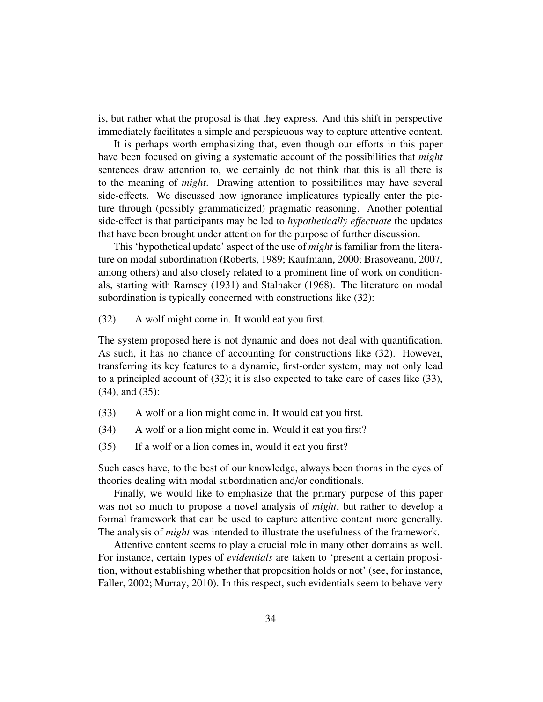is, but rather what the proposal is that they express. And this shift in perspective immediately facilitates a simple and perspicuous way to capture attentive content.

It is perhaps worth emphasizing that, even though our efforts in this paper have been focused on giving a systematic account of the possibilities that *might* sentences draw attention to, we certainly do not think that this is all there is to the meaning of *might*. Drawing attention to possibilities may have several side-effects. We discussed how ignorance implicatures typically enter the picture through (possibly grammaticized) pragmatic reasoning. Another potential side-effect is that participants may be led to *hypothetically e*ff*ectuate* the updates that have been brought under attention for the purpose of further discussion.

This 'hypothetical update' aspect of the use of *might* is familiar from the literature on modal subordination [\(Roberts,](#page-38-10) [1989;](#page-38-10) [Kaufmann,](#page-38-11) [2000;](#page-38-11) [Brasoveanu,](#page-35-4) [2007,](#page-35-4) among others) and also closely related to a prominent line of work on conditionals, starting with [Ramsey](#page-38-12) [\(1931\)](#page-38-12) and [Stalnaker](#page-39-9) [\(1968\)](#page-39-9). The literature on modal subordination is typically concerned with constructions like (32):

(32) A wolf might come in. It would eat you first.

The system proposed here is not dynamic and does not deal with quantification. As such, it has no chance of accounting for constructions like (32). However, transferring its key features to a dynamic, first-order system, may not only lead to a principled account of (32); it is also expected to take care of cases like (33), (34), and [\(35\):](#page-34-0)

- (33) A wolf or a lion might come in. It would eat you first.
- <span id="page-34-0"></span>(34) A wolf or a lion might come in. Would it eat you first?
- (35) If a wolf or a lion comes in, would it eat you first?

Such cases have, to the best of our knowledge, always been thorns in the eyes of theories dealing with modal subordination and/or conditionals.

Finally, we would like to emphasize that the primary purpose of this paper was not so much to propose a novel analysis of *might*, but rather to develop a formal framework that can be used to capture attentive content more generally. The analysis of *might* was intended to illustrate the usefulness of the framework.

Attentive content seems to play a crucial role in many other domains as well. For instance, certain types of *evidentials* are taken to 'present a certain proposition, without establishing whether that proposition holds or not' (see, for instance, [Faller,](#page-37-11) [2002;](#page-37-11) [Murray,](#page-38-13) [2010\)](#page-38-13). In this respect, such evidentials seem to behave very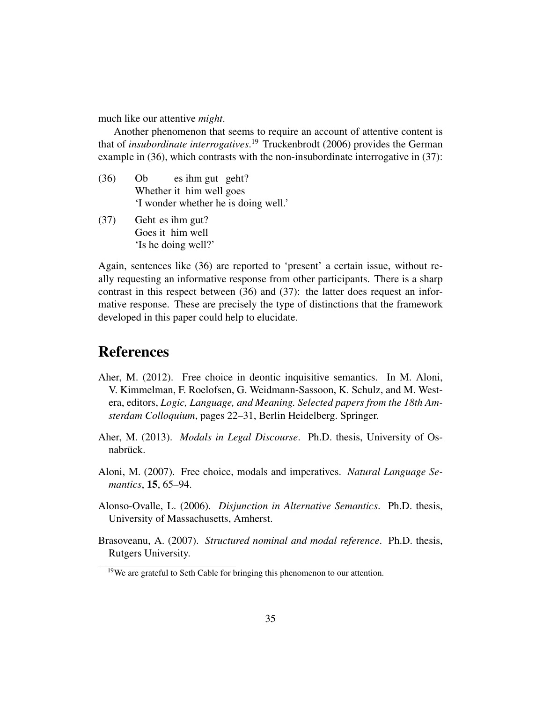much like our attentive *might*.

Another phenomenon that seems to require an account of attentive content is that of *insubordinate interrogatives*. [19](#page-35-5) [Truckenbrodt](#page-39-10) [\(2006\)](#page-39-10) provides the German example in (36), which contrasts with the non-insubordinate interrogative in (37):

- (36) Ob Whether it him well goes es ihm gut geht? 'I wonder whether he is doing well.'
- (37) Geht es ihm gut? Goes it him well 'Is he doing well?'

Again, sentences like (36) are reported to 'present' a certain issue, without really requesting an informative response from other participants. There is a sharp contrast in this respect between (36) and (37): the latter does request an informative response. These are precisely the type of distinctions that the framework developed in this paper could help to elucidate.

## References

- <span id="page-35-2"></span>Aher, M. (2012). Free choice in deontic inquisitive semantics. In M. Aloni, V. Kimmelman, F. Roelofsen, G. Weidmann-Sassoon, K. Schulz, and M. Westera, editors, *Logic, Language, and Meaning. Selected papers from the 18th Amsterdam Colloquium*, pages 22–31, Berlin Heidelberg. Springer.
- <span id="page-35-3"></span>Aher, M. (2013). *Modals in Legal Discourse*. Ph.D. thesis, University of Osnabrück.
- <span id="page-35-1"></span>Aloni, M. (2007). Free choice, modals and imperatives. *Natural Language Semantics*, 15, 65–94.
- <span id="page-35-0"></span>Alonso-Ovalle, L. (2006). *Disjunction in Alternative Semantics*. Ph.D. thesis, University of Massachusetts, Amherst.
- <span id="page-35-4"></span>Brasoveanu, A. (2007). *Structured nominal and modal reference*. Ph.D. thesis, Rutgers University.

<span id="page-35-5"></span> $19$ We are grateful to Seth Cable for bringing this phenomenon to our attention.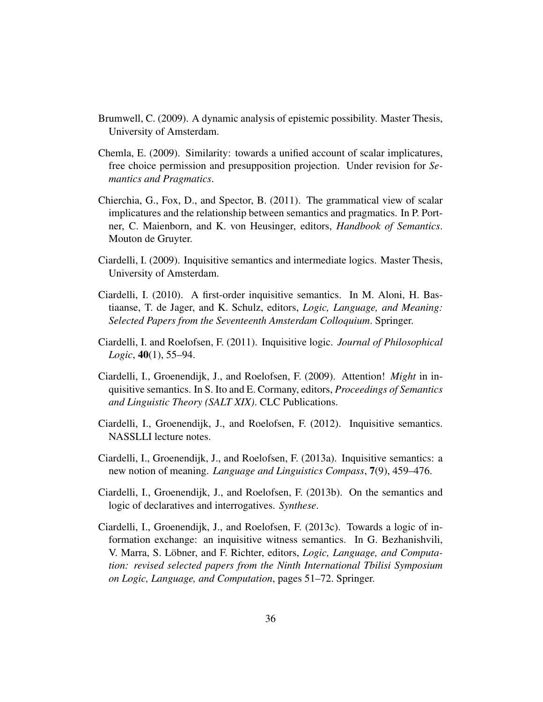- <span id="page-36-6"></span>Brumwell, C. (2009). A dynamic analysis of epistemic possibility. Master Thesis, University of Amsterdam.
- <span id="page-36-9"></span>Chemla, E. (2009). Similarity: towards a unified account of scalar implicatures, free choice permission and presupposition projection. Under revision for *Semantics and Pragmatics*.
- <span id="page-36-10"></span>Chierchia, G., Fox, D., and Spector, B. (2011). The grammatical view of scalar implicatures and the relationship between semantics and pragmatics. In P. Portner, C. Maienborn, and K. von Heusinger, editors, *Handbook of Semantics*. Mouton de Gruyter.
- <span id="page-36-4"></span>Ciardelli, I. (2009). Inquisitive semantics and intermediate logics. Master Thesis, University of Amsterdam.
- <span id="page-36-7"></span>Ciardelli, I. (2010). A first-order inquisitive semantics. In M. Aloni, H. Bastiaanse, T. de Jager, and K. Schulz, editors, *Logic, Language, and Meaning: Selected Papers from the Seventeenth Amsterdam Colloquium*. Springer.
- <span id="page-36-5"></span>Ciardelli, I. and Roelofsen, F. (2011). Inquisitive logic. *Journal of Philosophical Logic*, 40(1), 55–94.
- <span id="page-36-0"></span>Ciardelli, I., Groenendijk, J., and Roelofsen, F. (2009). Attention! *Might* in inquisitive semantics. In S. Ito and E. Cormany, editors, *Proceedings of Semantics and Linguistic Theory (SALT XIX)*. CLC Publications.
- <span id="page-36-1"></span>Ciardelli, I., Groenendijk, J., and Roelofsen, F. (2012). Inquisitive semantics. NASSLLI lecture notes.
- <span id="page-36-2"></span>Ciardelli, I., Groenendijk, J., and Roelofsen, F. (2013a). Inquisitive semantics: a new notion of meaning. *Language and Linguistics Compass*, 7(9), 459–476.
- <span id="page-36-3"></span>Ciardelli, I., Groenendijk, J., and Roelofsen, F. (2013b). On the semantics and logic of declaratives and interrogatives. *Synthese*.
- <span id="page-36-8"></span>Ciardelli, I., Groenendijk, J., and Roelofsen, F. (2013c). Towards a logic of information exchange: an inquisitive witness semantics. In G. Bezhanishvili, V. Marra, S. Löbner, and F. Richter, editors, *Logic, Language, and Computation: revised selected papers from the Ninth International Tbilisi Symposium on Logic, Language, and Computation*, pages 51–72. Springer.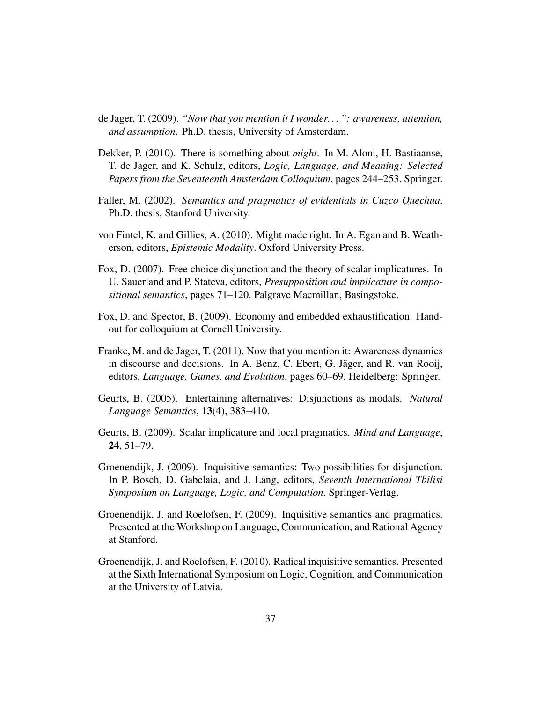- <span id="page-37-2"></span>de Jager, T. (2009). *"Now that you mention it I wonder. . . ": awareness, attention, and assumption*. Ph.D. thesis, University of Amsterdam.
- <span id="page-37-4"></span>Dekker, P. (2010). There is something about *might*. In M. Aloni, H. Bastiaanse, T. de Jager, and K. Schulz, editors, *Logic, Language, and Meaning: Selected Papers from the Seventeenth Amsterdam Colloquium*, pages 244–253. Springer.
- <span id="page-37-11"></span>Faller, M. (2002). *Semantics and pragmatics of evidentials in Cuzco Quechua*. Ph.D. thesis, Stanford University.
- <span id="page-37-10"></span>von Fintel, K. and Gillies, A. (2010). Might made right. In A. Egan and B. Weatherson, editors, *Epistemic Modality*. Oxford University Press.
- <span id="page-37-7"></span>Fox, D. (2007). Free choice disjunction and the theory of scalar implicatures. In U. Sauerland and P. Stateva, editors, *Presupposition and implicature in compositional semantics*, pages 71–120. Palgrave Macmillan, Basingstoke.
- <span id="page-37-9"></span>Fox, D. and Spector, B. (2009). Economy and embedded exhaustification. Handout for colloquium at Cornell University.
- <span id="page-37-3"></span>Franke, M. and de Jager, T. (2011). Now that you mention it: Awareness dynamics in discourse and decisions. In A. Benz, C. Ebert, G. Jäger, and R. van Rooij, editors, *Language, Games, and Evolution*, pages 60–69. Heidelberg: Springer.
- <span id="page-37-6"></span>Geurts, B. (2005). Entertaining alternatives: Disjunctions as modals. *Natural Language Semantics*, 13(4), 383–410.
- <span id="page-37-8"></span>Geurts, B. (2009). Scalar implicature and local pragmatics. *Mind and Language*, 24, 51–79.
- <span id="page-37-1"></span>Groenendijk, J. (2009). Inquisitive semantics: Two possibilities for disjunction. In P. Bosch, D. Gabelaia, and J. Lang, editors, *Seventh International Tbilisi Symposium on Language, Logic, and Computation*. Springer-Verlag.
- <span id="page-37-0"></span>Groenendijk, J. and Roelofsen, F. (2009). Inquisitive semantics and pragmatics. Presented at the Workshop on Language, Communication, and Rational Agency at Stanford.
- <span id="page-37-5"></span>Groenendijk, J. and Roelofsen, F. (2010). Radical inquisitive semantics. Presented at the Sixth International Symposium on Logic, Cognition, and Communication at the University of Latvia.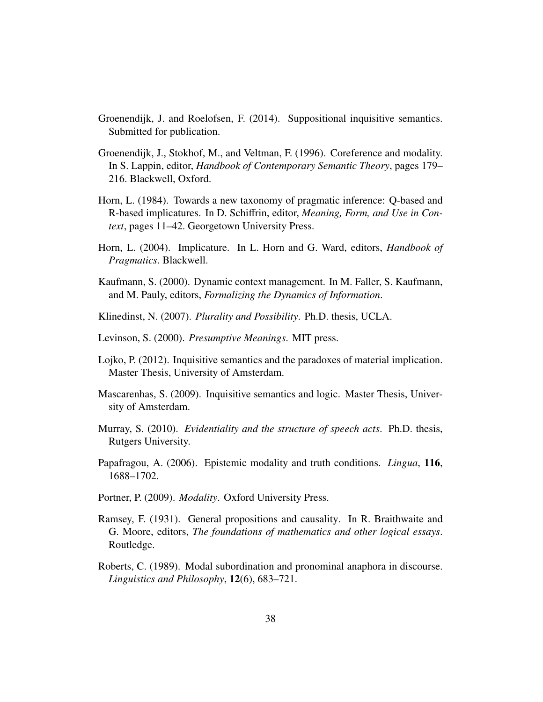- <span id="page-38-1"></span>Groenendijk, J. and Roelofsen, F. (2014). Suppositional inquisitive semantics. Submitted for publication.
- <span id="page-38-9"></span>Groenendijk, J., Stokhof, M., and Veltman, F. (1996). Coreference and modality. In S. Lappin, editor, *Handbook of Contemporary Semantic Theory*, pages 179– 216. Blackwell, Oxford.
- <span id="page-38-5"></span>Horn, L. (1984). Towards a new taxonomy of pragmatic inference: Q-based and R-based implicatures. In D. Schiffrin, editor, *Meaning, Form, and Use in Context*, pages 11–42. Georgetown University Press.
- <span id="page-38-6"></span>Horn, L. (2004). Implicature. In L. Horn and G. Ward, editors, *Handbook of Pragmatics*. Blackwell.
- <span id="page-38-11"></span>Kaufmann, S. (2000). Dynamic context management. In M. Faller, S. Kaufmann, and M. Pauly, editors, *Formalizing the Dynamics of Information*.
- <span id="page-38-3"></span>Klinedinst, N. (2007). *Plurality and Possibility*. Ph.D. thesis, UCLA.
- <span id="page-38-4"></span>Levinson, S. (2000). *Presumptive Meanings*. MIT press.
- <span id="page-38-2"></span>Lojko, P. (2012). Inquisitive semantics and the paradoxes of material implication. Master Thesis, University of Amsterdam.
- <span id="page-38-0"></span>Mascarenhas, S. (2009). Inquisitive semantics and logic. Master Thesis, University of Amsterdam.
- <span id="page-38-13"></span>Murray, S. (2010). *Evidentiality and the structure of speech acts*. Ph.D. thesis, Rutgers University.
- <span id="page-38-7"></span>Papafragou, A. (2006). Epistemic modality and truth conditions. *Lingua*, 116, 1688–1702.
- <span id="page-38-8"></span>Portner, P. (2009). *Modality*. Oxford University Press.
- <span id="page-38-12"></span>Ramsey, F. (1931). General propositions and causality. In R. Braithwaite and G. Moore, editors, *The foundations of mathematics and other logical essays*. Routledge.
- <span id="page-38-10"></span>Roberts, C. (1989). Modal subordination and pronominal anaphora in discourse. *Linguistics and Philosophy*, 12(6), 683–721.